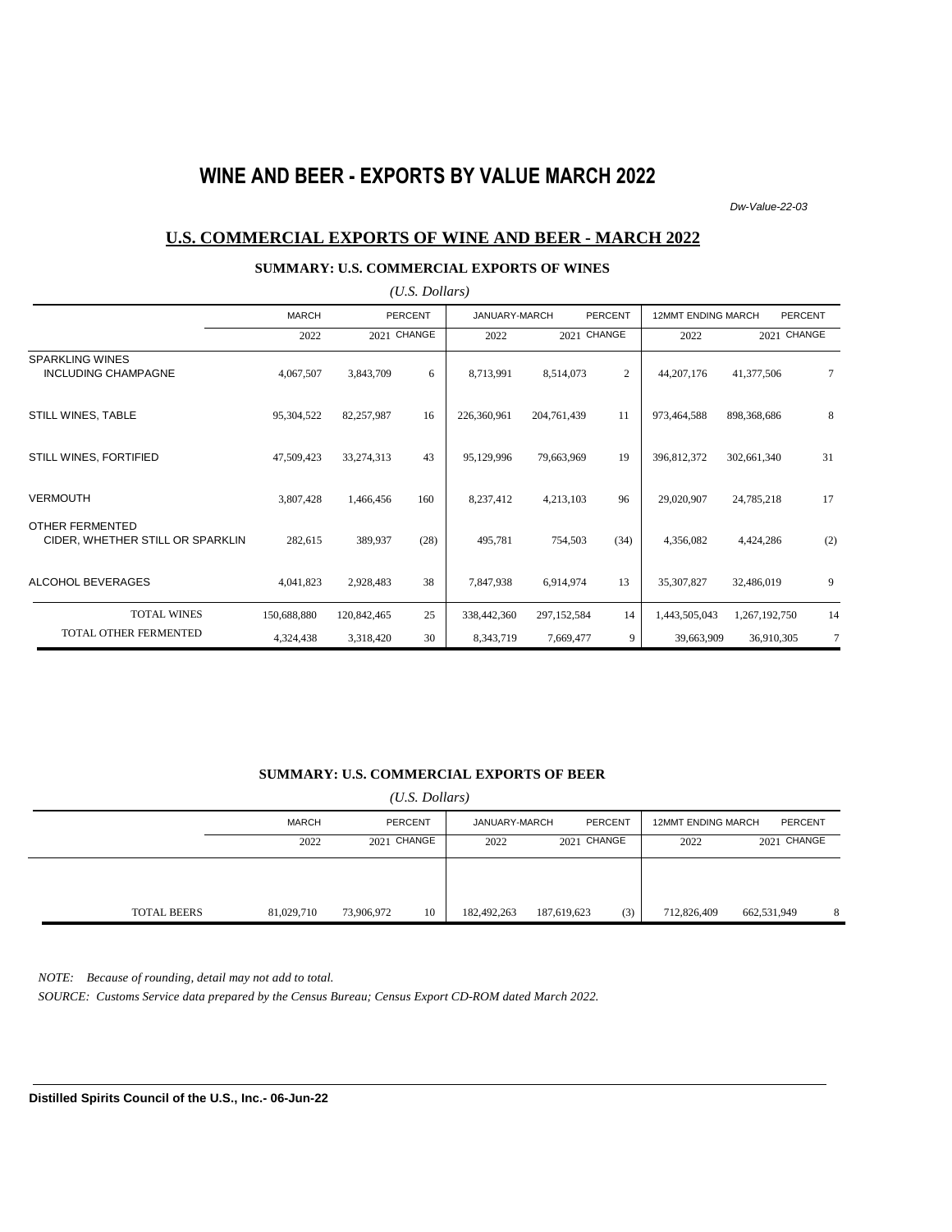# **WINE AND BEER - EXPORTS BY VALUE MARCH 2022**

*Dw-Value-22-03*

#### **U.S. COMMERCIAL EXPORTS OF WINE AND BEER - MARCH 2022**

#### **SUMMARY: U.S. COMMERCIAL EXPORTS OF WINES**

| $(U.S.$ Dollars)                                     |              |             |                |               |               |                |                           |               |                |  |  |
|------------------------------------------------------|--------------|-------------|----------------|---------------|---------------|----------------|---------------------------|---------------|----------------|--|--|
|                                                      | <b>MARCH</b> |             | <b>PERCENT</b> | JANUARY-MARCH |               | <b>PERCENT</b> | <b>12MMT ENDING MARCH</b> |               | <b>PERCENT</b> |  |  |
|                                                      | 2022         |             | 2021 CHANGE    | 2022          | 2021 CHANGE   |                | 2022                      |               | 2021 CHANGE    |  |  |
| <b>SPARKLING WINES</b><br><b>INCLUDING CHAMPAGNE</b> | 4,067,507    | 3,843,709   | 6              | 8,713,991     | 8,514,073     | 2              | 44, 207, 176              | 41,377,506    | $\tau$         |  |  |
| STILL WINES, TABLE                                   | 95,304,522   | 82,257,987  | 16             | 226,360,961   | 204,761,439   | 11             | 973,464,588               | 898,368,686   | 8              |  |  |
| STILL WINES, FORTIFIED                               | 47,509,423   | 33,274,313  | 43             | 95,129,996    | 79,663,969    | 19             | 396,812,372               | 302,661,340   | 31             |  |  |
| <b>VERMOUTH</b>                                      | 3,807,428    | 1,466,456   | 160            | 8,237,412     | 4,213,103     | 96             | 29,020,907                | 24,785,218    | 17             |  |  |
| OTHER FERMENTED<br>CIDER, WHETHER STILL OR SPARKLIN  | 282,615      | 389,937     | (28)           | 495,781       | 754,503       | (34)           | 4,356,082                 | 4,424,286     | (2)            |  |  |
| ALCOHOL BEVERAGES                                    | 4,041,823    | 2,928,483   | 38             | 7,847,938     | 6,914,974     | 13             | 35,307,827                | 32,486,019    | 9              |  |  |
| <b>TOTAL WINES</b>                                   | 150,688,880  | 120,842,465 | 25             | 338,442,360   | 297, 152, 584 | 14             | 1,443,505,043             | 1,267,192,750 | 14             |  |  |
| TOTAL OTHER FERMENTED                                | 4,324,438    | 3,318,420   | 30             | 8,343,719     | 7,669,477     | 9              | 39,663,909                | 36,910,305    | 7              |  |  |

#### **SUMMARY: U.S. COMMERCIAL EXPORTS OF BEER**

| $(U.S.$ Dollars) |
|------------------|
|                  |

|                    | MARCH      | PERCENT          | JANUARY-MARCH | <b>PERCENT</b> |     | <b>12MMT ENDING MARCH</b> | PERCENT     |   |
|--------------------|------------|------------------|---------------|----------------|-----|---------------------------|-------------|---|
|                    | 2022       | 2021 CHANGE      | 2022          | 2021 CHANGE    |     | 2022                      | 2021 CHANGE |   |
|                    |            |                  |               |                |     |                           |             |   |
|                    |            |                  |               |                |     |                           |             |   |
| <b>TOTAL BEERS</b> | 81,029,710 | 10<br>73,906,972 | 182,492,263   | 187,619,623    | (3) | 712,826,409               | 662,531,949 | 8 |

*NOTE: Because of rounding, detail may not add to total.*

*SOURCE: Customs Service data prepared by the Census Bureau; Census Export CD-ROM dated March 2022.*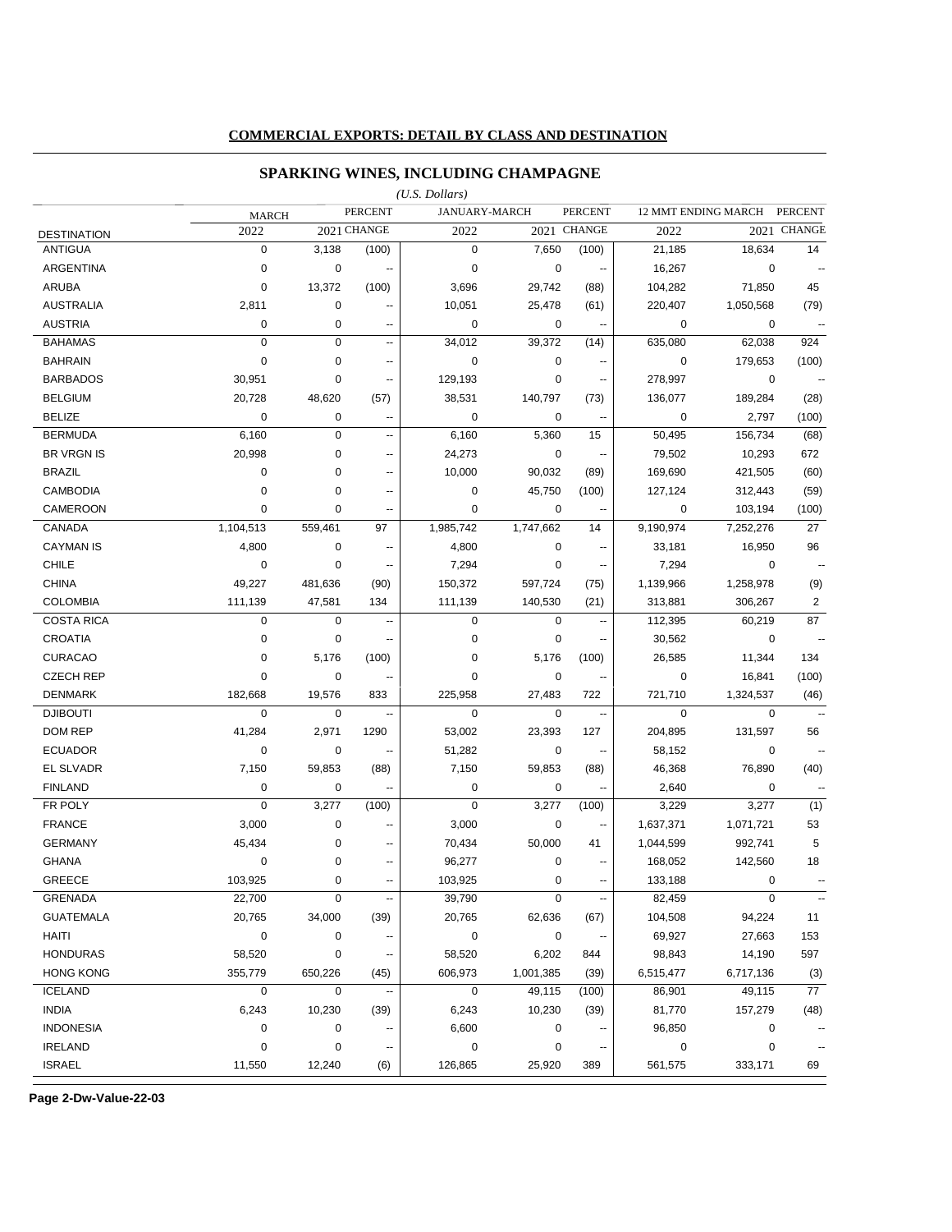### **COMMERCIAL EXPORTS: DETAIL BY CLASS AND DESTINATION**

### **SPARKING WINES, INCLUDING CHAMPAGNE**

|                    |              |             |                          | $(U.S.$ Dollars)     |             |                          |             |                     |                          |
|--------------------|--------------|-------------|--------------------------|----------------------|-------------|--------------------------|-------------|---------------------|--------------------------|
|                    | <b>MARCH</b> |             | <b>PERCENT</b>           | <b>JANUARY-MARCH</b> |             | <b>PERCENT</b>           |             | 12 MMT ENDING MARCH | <b>PERCENT</b>           |
| <b>DESTINATION</b> | 2022         |             | 2021 CHANGE              | 2022                 |             | 2021 CHANGE              | 2022        |                     | 2021 CHANGE              |
| <b>ANTIGUA</b>     | $\mathbf 0$  | 3,138       | (100)                    | 0                    | 7,650       | (100)                    | 21,185      | 18,634              | 14                       |
| <b>ARGENTINA</b>   | $\mathbf 0$  | 0           | --                       | $\mathbf 0$          | $\mathbf 0$ | $\ddotsc$                | 16,267      | $\mathbf 0$         |                          |
| <b>ARUBA</b>       | $\mathbf 0$  | 13,372      | (100)                    | 3,696                | 29,742      | (88)                     | 104,282     | 71,850              | 45                       |
| <b>AUSTRALIA</b>   | 2,811        | 0           | --                       | 10,051               | 25,478      | (61)                     | 220,407     | 1,050,568           | (79)                     |
| <b>AUSTRIA</b>     | 0            | 0           | ۰.                       | 0                    | 0           | $\ddotsc$                | 0           | 0                   | $\overline{\phantom{a}}$ |
| <b>BAHAMAS</b>     | $\mathbf 0$  | 0           | ٠.                       | 34,012               | 39,372      | (14)                     | 635,080     | 62,038              | 924                      |
| <b>BAHRAIN</b>     | $\mathbf 0$  | 0           | ۰.                       | $\mathbf 0$          | $\mathbf 0$ | $\overline{\phantom{a}}$ | 0           | 179,653             | (100)                    |
| <b>BARBADOS</b>    | 30,951       | 0           | ۰.                       | 129,193              | 0           | $\overline{\phantom{a}}$ | 278,997     | 0                   | $\ddotsc$                |
| <b>BELGIUM</b>     | 20,728       | 48,620      | (57)                     | 38,531               | 140,797     | (73)                     | 136,077     | 189,284             | (28)                     |
| <b>BELIZE</b>      | 0            | 0           | --                       | 0                    | 0           | ۰.                       | 0           | 2,797               | (100)                    |
| <b>BERMUDA</b>     | 6,160        | 0           | --                       | 6,160                | 5,360       | 15                       | 50,495      | 156,734             | (68)                     |
| <b>BR VRGN IS</b>  | 20,998       | 0           | ۰.                       | 24,273               | 0           | $\overline{\phantom{a}}$ | 79,502      | 10,293              | 672                      |
| <b>BRAZIL</b>      | 0            | 0           | ۰.                       | 10,000               | 90,032      | (89)                     | 169,690     | 421,505             | (60)                     |
| <b>CAMBODIA</b>    | $\mathbf 0$  | 0           | ٠.                       | 0                    | 45,750      | (100)                    | 127,124     | 312,443             | (59)                     |
| <b>CAMEROON</b>    | $\mathbf 0$  | 0           | ٠.                       | 0                    | 0           |                          | 0           | 103,194             | (100)                    |
| CANADA             | 1,104,513    | 559,461     | 97                       | 1,985,742            | 1,747,662   | 14                       | 9,190,974   | 7,252,276           | 27                       |
| <b>CAYMAN IS</b>   | 4,800        | $\mathbf 0$ | --                       | 4,800                | 0           | $\sim$                   | 33,181      | 16,950              | 96                       |
| <b>CHILE</b>       | $\mathbf 0$  | 0           | $\overline{\phantom{a}}$ | 7,294                | 0           | $\overline{\phantom{a}}$ | 7,294       | 0                   |                          |
| <b>CHINA</b>       | 49,227       | 481,636     | (90)                     | 150,372              | 597,724     | (75)                     | 1,139,966   | 1,258,978           | (9)                      |
| <b>COLOMBIA</b>    | 111,139      | 47,581      | 134                      | 111,139              | 140,530     | (21)                     | 313,881     | 306,267             | 2                        |
| <b>COSTA RICA</b>  | $\mathbf 0$  | 0           | $\overline{\phantom{a}}$ | $\mathbf 0$          | $\mathbf 0$ | $\ddotsc$                | 112,395     | 60,219              | 87                       |
| <b>CROATIA</b>     | $\mathbf 0$  | 0           | ٠.                       | 0                    | $\mathbf 0$ | --                       | 30,562      | 0                   |                          |
| <b>CURACAO</b>     | $\mathbf 0$  | 5,176       | (100)                    | 0                    | 5,176       | (100)                    | 26,585      | 11,344              | 134                      |
| <b>CZECH REP</b>   | $\mathbf 0$  | 0           | ٠.                       | 0                    | 0           | $\overline{\phantom{a}}$ | 0           | 16,841              | (100)                    |
| <b>DENMARK</b>     | 182,668      | 19,576      | 833                      | 225,958              | 27,483      | 722                      | 721,710     | 1,324,537           | (46)                     |
| <b>DJIBOUTI</b>    | $\mathbf 0$  | 0           | --                       | $\mathbf 0$          | $\mathbf 0$ | $\overline{\phantom{a}}$ | $\mathbf 0$ | $\mathbf 0$         |                          |
| DOM REP            | 41,284       | 2,971       | 1290                     | 53,002               | 23,393      | 127                      | 204,895     | 131,597             | 56                       |
| <b>ECUADOR</b>     | $\pmb{0}$    | 0           | $\overline{\phantom{a}}$ | 51,282               | 0           | $\overline{\phantom{a}}$ | 58,152      | 0                   | $\overline{\phantom{a}}$ |
| EL SLVADR          | 7,150        | 59,853      | (88)                     | 7,150                | 59,853      | (88)                     | 46,368      | 76,890              | (40)                     |
| <b>FINLAND</b>     | 0            | 0           | Ξ.                       | 0                    | 0           | Ξ.                       | 2,640       | 0                   | $\ddotsc$                |
| FR POLY            | $\pmb{0}$    | 3,277       | (100)                    | $\pmb{0}$            | 3,277       | (100)                    | 3,229       | 3,277               | (1)                      |
| <b>FRANCE</b>      | 3,000        | 0           | $\overline{a}$           | 3,000                | 0           | $\overline{\phantom{a}}$ | 1,637,371   | 1,071,721           | 53                       |
| <b>GERMANY</b>     | 45,434       | 0           | $\overline{a}$           | 70,434               | 50,000      | 41                       | 1,044,599   | 992,741             | 5                        |
| <b>GHANA</b>       | $\mathbf 0$  | 0           | ۰.                       | 96,277               | 0           | $\overline{\phantom{a}}$ | 168,052     | 142,560             | 18                       |
| <b>GREECE</b>      | 103,925      | 0           | --                       | 103,925              | $\mathbf 0$ | --                       | 133,188     | $\mathbf 0$         | $\overline{\phantom{a}}$ |
| <b>GRENADA</b>     | 22,700       | 0           | ⊷                        | 39,790               | $\mathbf 0$ |                          | 82,459      | $\mathbf 0$         | $\qquad \qquad \cdots$   |
| <b>GUATEMALA</b>   | 20,765       | 34,000      | (39)                     | 20,765               | 62,636      | (67)                     | 104,508     | 94,224              | 11                       |
| HAITI              | $\pmb{0}$    | 0           |                          | 0                    | $\pmb{0}$   | ۰.                       | 69,927      | 27,663              | 153                      |
| <b>HONDURAS</b>    | 58,520       | $\pmb{0}$   | ۰.                       | 58,520               | 6,202       | 844                      | 98,843      | 14,190              | 597                      |
| <b>HONG KONG</b>   | 355,779      | 650,226     | (45)                     | 606,973              | 1,001,385   | (39)                     | 6,515,477   | 6,717,136           | (3)                      |
| <b>ICELAND</b>     | $\mathbf 0$  | 0           | Ξ.                       | $\mathbf 0$          | 49,115      | (100)                    | 86,901      | 49,115              | 77                       |
| <b>INDIA</b>       | 6,243        | 10,230      | (39)                     | 6,243                | 10,230      | (39)                     | 81,770      | 157,279             | (48)                     |
| <b>INDONESIA</b>   | 0            | 0           |                          | 6,600                | $\pmb{0}$   |                          | 96,850      | $\pmb{0}$           |                          |
| <b>IRELAND</b>     | $\pmb{0}$    | $\pmb{0}$   |                          | 0                    | $\mathbf 0$ | ۰.                       | $\pmb{0}$   | 0                   |                          |
| <b>ISRAEL</b>      | 11,550       | 12,240      | (6)                      | 126,865              | 25,920      | 389                      | 561,575     | 333,171             | 69                       |

**Page 2-Dw-Value-22-03**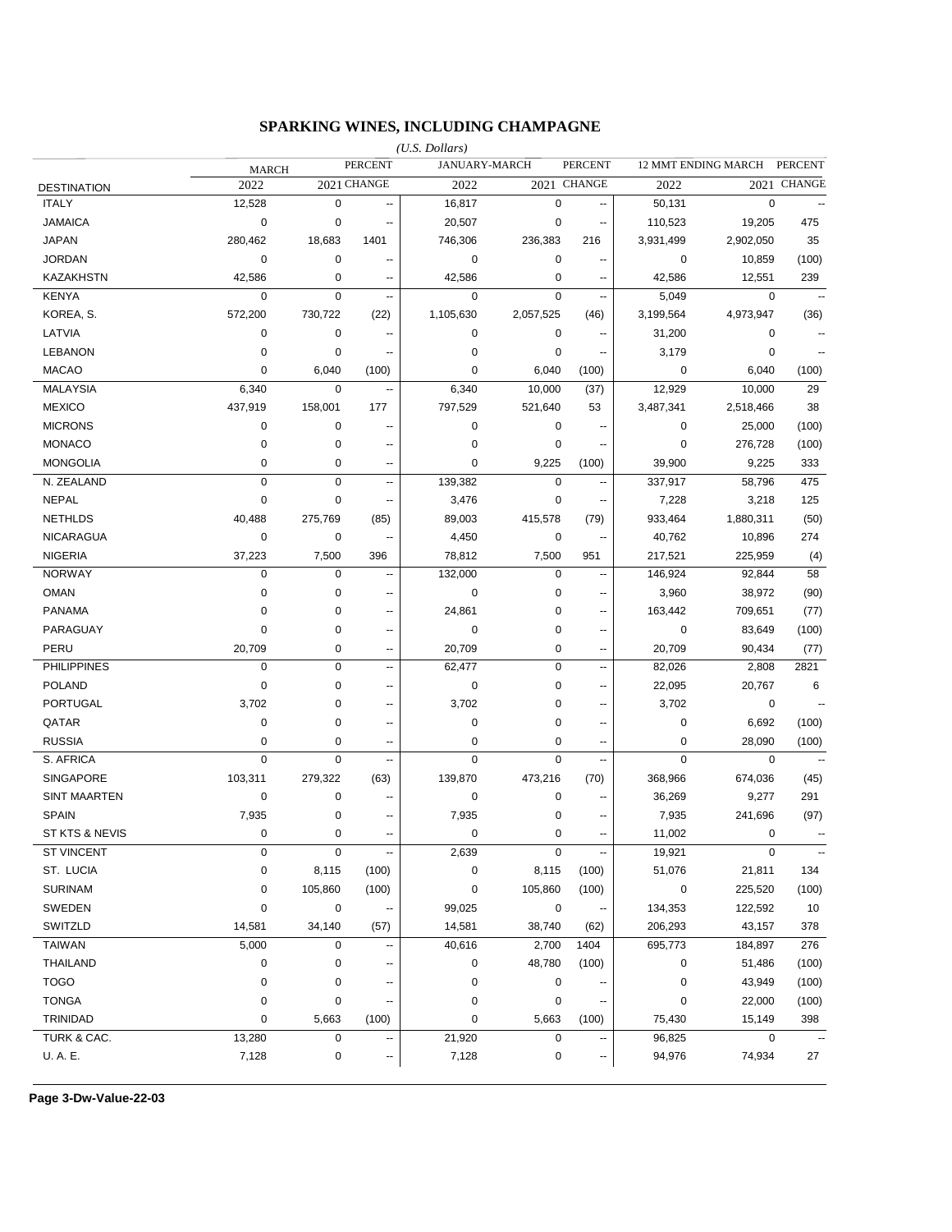### **SPARKING WINES, INCLUDING CHAMPAGNE**

|                           |              |             |                | $(U.S.$ Dollars) |               |                          |                |                     |                |
|---------------------------|--------------|-------------|----------------|------------------|---------------|--------------------------|----------------|---------------------|----------------|
|                           | <b>MARCH</b> |             | <b>PERCENT</b> |                  | JANUARY-MARCH | <b>PERCENT</b>           |                | 12 MMT ENDING MARCH | <b>PERCENT</b> |
| <b>DESTINATION</b>        | 2022         |             | 2021 CHANGE    | 2022             |               | 2021 CHANGE              | 2022           |                     | 2021 CHANGE    |
| <b>ITALY</b>              | 12,528       | 0           | --             | 16,817           | $\mathbf 0$   | --                       | 50,131         | $\mathbf 0$         |                |
| <b>JAMAICA</b>            | $\mathbf 0$  | 0           | ٠.             | 20,507           | 0             | $\overline{\phantom{a}}$ | 110,523        | 19,205              | 475            |
| <b>JAPAN</b>              | 280,462      | 18,683      | 1401           | 746,306          | 236,383       | 216                      | 3,931,499      | 2,902,050           | 35             |
| <b>JORDAN</b>             | 0            | 0           | ٠.             | 0                | 0             | $\overline{a}$           | 0              | 10,859              | (100)          |
| <b>KAZAKHSTN</b>          | 42,586       | 0           | --             | 42,586           | 0             | $\overline{\phantom{a}}$ | 42,586         | 12,551              | 239            |
| <b>KENYA</b>              | $\mathbf 0$  | 0           | --             | 0                | $\mathbf 0$   | --                       | 5,049          | 0                   |                |
| KOREA, S.                 | 572,200      | 730,722     | (22)           | 1,105,630        | 2,057,525     | (46)                     | 3,199,564      | 4,973,947           | (36)           |
| LATVIA                    | 0            | 0           | ٠.             | 0                | 0             | $\overline{\phantom{a}}$ | 31,200         | 0                   |                |
| <b>LEBANON</b>            | 0            | 0           |                | 0                | 0             | $\overline{\phantom{a}}$ | 3,179          | 0                   |                |
| <b>MACAO</b>              | 0            | 6,040       | (100)          | 0                | 6,040         | (100)                    | 0              | 6,040               | (100)          |
| <b>MALAYSIA</b>           | 6,340        | $\pmb{0}$   | ۰.             | 6,340            | 10,000        | (37)                     | 12,929         | 10,000              | 29             |
| <b>MEXICO</b>             | 437,919      | 158,001     | 177            | 797,529          | 521,640       | 53                       | 3,487,341      | 2,518,466           | 38             |
| <b>MICRONS</b>            | 0            | 0           | ٠.             | 0                | 0             | $\overline{a}$           | 0              | 25,000              | (100)          |
| <b>MONACO</b>             | 0            | 0           | ۵.             | 0                | 0             | $\sim$                   | 0              | 276,728             | (100)          |
| <b>MONGOLIA</b>           | 0            | 0           | ٠.             | $\mathbf 0$      | 9,225         | (100)                    | 39,900         | 9,225               | 333            |
| N. ZEALAND                | $\mathbf 0$  | $\pmb{0}$   | Ш,             | 139,382          | $\mathbf 0$   | Ξ.                       | 337,917        | 58,796              | 475            |
| <b>NEPAL</b>              | $\mathbf 0$  | $\pmb{0}$   | ٠.             | 3,476            | $\mathbf 0$   | н.                       | 7,228          | 3,218               | 125            |
| <b>NETHLDS</b>            | 40,488       | 275,769     | (85)           | 89,003           | 415,578       | (79)                     | 933,464        | 1,880,311           | (50)           |
| <b>NICARAGUA</b>          | $\mathbf 0$  | $\pmb{0}$   | --             | 4,450            | $\mathbf 0$   | --                       | 40,762         | 10,896              | 274            |
| <b>NIGERIA</b>            | 37,223       | 7,500       | 396            | 78,812           | 7,500         | 951                      | 217,521        | 225,959             | (4)            |
| <b>NORWAY</b>             | $\mathbf 0$  | $\mathbf 0$ | --             | 132,000          | $\mathbf 0$   | --                       | 146,924        | 92,844              | 58             |
| <b>OMAN</b>               | $\mathbf 0$  | 0           | --             | $\mathbf 0$      | $\mathbf 0$   | $\overline{\phantom{a}}$ | 3,960          | 38,972              | (90)           |
| <b>PANAMA</b>             | 0            | 0           | --             | 24,861           | $\mathbf 0$   | $\overline{\phantom{a}}$ | 163,442        | 709,651             | (77)           |
| PARAGUAY                  | 0            | 0           | ٠.             | $\mathbf 0$      | $\mathbf 0$   | $\overline{\phantom{a}}$ | 0              | 83,649              | (100)          |
| PERU                      | 20,709       | 0           | ٠.             | 20,709           | $\mathbf 0$   | $\sim$                   | 20,709         | 90,434              | (77)           |
| <b>PHILIPPINES</b>        | 0            | $\pmb{0}$   | $\overline{a}$ | 62,477           | $\mathbf 0$   | $\overline{a}$           | 82,026         | 2,808               | 2821           |
| <b>POLAND</b>             | 0            | 0           | $\overline{a}$ | 0                | 0             | $\overline{a}$           | 22,095         | 20,767              | 6              |
| PORTUGAL                  | 3,702        | 0           | $\overline{a}$ | 3,702            | 0             | $\overline{a}$           | 3,702          | 0                   | $\overline{a}$ |
| QATAR                     | 0            | 0           | $\overline{a}$ | 0                | $\mathbf 0$   | $\overline{a}$           | $\mathbf 0$    | 6,692               | (100)          |
| <b>RUSSIA</b>             | 0            | 0           | $\overline{a}$ | 0                | $\mathbf 0$   | $\overline{a}$           | 0              | 28,090              | (100)          |
| S. AFRICA                 | $\mathbf 0$  | $\mathbf 0$ | Ξ.             | $\overline{0}$   | $\mathbf 0$   | $\overline{a}$           | $\overline{0}$ | $\mathbf 0$         |                |
| <b>SINGAPORE</b>          | 103,311      | 279,322     | (63)           | 139,870          | 473,216       | (70)                     | 368,966        | 674,036             | (45)           |
| <b>SINT MAARTEN</b>       | $\mathbf 0$  | 0           | ۰.             | 0                | $\mathbf 0$   | $\overline{\phantom{a}}$ | 36,269         | 9,277               | 291            |
| <b>SPAIN</b>              | 7,935        | 0           | --             | 7,935            | 0             | $\overline{\phantom{a}}$ | 7,935          | 241,696             | (97)           |
| <b>ST KTS &amp; NEVIS</b> | $\mathbf 0$  | 0           | ۰.             | 0                | $\mathbf 0$   | $\overline{\phantom{a}}$ | 11,002         | 0                   |                |
| <b>ST VINCENT</b>         | 0            | $\mathbf 0$ | --             | 2,639            | 0             |                          | 19,921         | $\mathbf 0$         | ۰.             |
| ST. LUCIA                 | 0            | 8,115       | (100)          | 0                | 8,115         | (100)                    | 51,076         | 21,811              | 134            |
| <b>SURINAM</b>            | 0            | 105,860     | (100)          | $\pmb{0}$        | 105,860       | (100)                    | $\mathbf 0$    | 225,520             | (100)          |
| SWEDEN                    | 0            | 0           |                | 99,025           | $\pmb{0}$     |                          | 134,353        | 122,592             | 10             |
| SWITZLD                   | 14,581       | 34,140      | (57)           | 14,581           | 38,740        | (62)                     | 206,293        | 43,157              | 378            |
| TAIWAN                    | 5,000        | 0           |                | 40,616           | 2,700         | 1404                     | 695,773        | 184,897             | 276            |
| THAILAND                  | $\pmb{0}$    | 0           |                | 0                | 48,780        | (100)                    | 0              | 51,486              | (100)          |
| <b>TOGO</b>               | 0            | 0           |                | 0                | $\pmb{0}$     |                          | $\pmb{0}$      | 43,949              | (100)          |
| <b>TONGA</b>              | 0            | 0           |                | 0                | $\pmb{0}$     |                          | $\pmb{0}$      | 22,000              | (100)          |
| TRINIDAD                  | 0            | 5,663       | (100)          | 0                | 5,663         | (100)                    | 75,430         | 15,149              | 398            |
| TURK & CAC.               | 13,280       | 0           |                | 21,920           | 0             |                          | 96,825         | 0                   |                |
| U.A.E.                    | 7,128        | 0           |                | 7,128            | 0             | ۰.                       | 94,976         | 74,934              | 27             |
|                           |              |             |                |                  |               |                          |                |                     |                |

**Page 3-Dw-Value-22-03**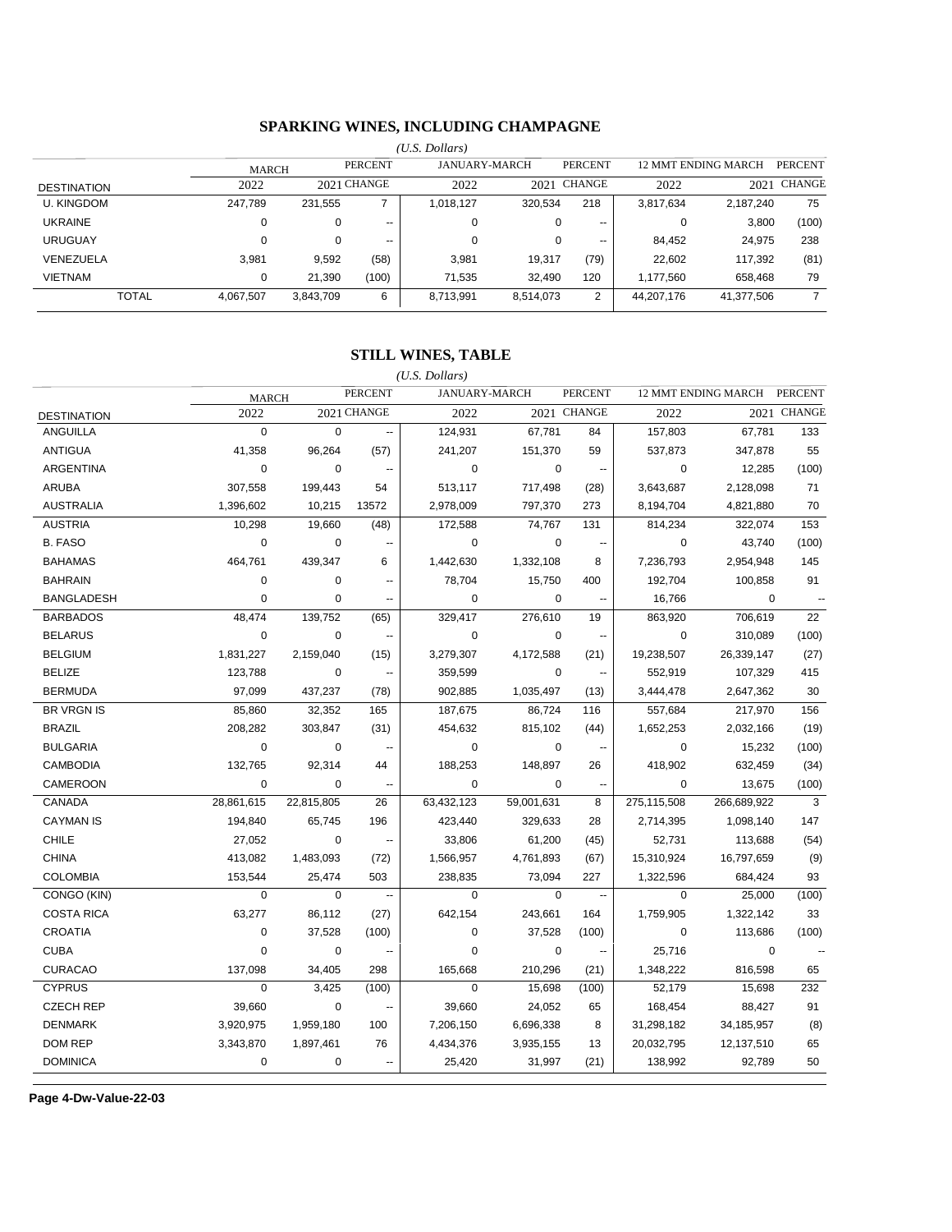### **SPARKING WINES, INCLUDING CHAMPAGNE**

|                    |              |              |           |                          | (U.S. Dollars)       |           |                |                                       |            |             |
|--------------------|--------------|--------------|-----------|--------------------------|----------------------|-----------|----------------|---------------------------------------|------------|-------------|
|                    |              | <b>MARCH</b> |           | <b>PERCENT</b>           | <b>JANUARY-MARCH</b> |           | <b>PERCENT</b> | 12 MMT ENDING MARCH<br><b>PERCENT</b> |            |             |
| <b>DESTINATION</b> |              | 2022         |           | 2021 CHANGE              | 2022                 |           | 2021 CHANGE    | 2022                                  |            | 2021 CHANGE |
| <b>U. KINGDOM</b>  |              | 247,789      | 231.555   | ⇁                        | 1,018,127            | 320.534   | 218            | 3,817,634                             | 2,187,240  | 75          |
| <b>UKRAINE</b>     |              | 0            | 0         | $\overline{\phantom{a}}$ | 0                    |           | $- -$          | 0                                     | 3,800      | (100)       |
| <b>URUGUAY</b>     |              | $\Omega$     | 0         | $\overline{\phantom{a}}$ | 0                    |           | $- -$          | 84,452                                | 24,975     | 238         |
| VENEZUELA          |              | 3,981        | 9,592     | (58)                     | 3,981                | 19,317    | (79)           | 22,602                                | 117,392    | (81)        |
| VIETNAM            |              | 0            | 21,390    | (100)                    | 71,535               | 32.490    | 120            | 1,177,560                             | 658,468    | 79          |
|                    | <b>TOTAL</b> | 4,067,507    | 3,843,709 | 6                        | 8,713,991            | 8,514,073 | $\overline{2}$ | 44,207,176                            | 41,377,506 | 7           |
|                    |              |              |           |                          |                      |           |                |                                       |            |             |

### **STILL WINES, TABLE**

| (U.S. Dollars)     |              |             |                |             |                      |                               |             |                     |                |
|--------------------|--------------|-------------|----------------|-------------|----------------------|-------------------------------|-------------|---------------------|----------------|
|                    | <b>MARCH</b> |             | <b>PERCENT</b> |             | <b>JANUARY-MARCH</b> | <b>PERCENT</b>                |             | 12 MMT ENDING MARCH | <b>PERCENT</b> |
| <b>DESTINATION</b> | 2022         |             | 2021 CHANGE    | 2022        |                      | 2021 CHANGE                   | 2022        |                     | 2021 CHANGE    |
| <b>ANGUILLA</b>    | $\Omega$     | $\mathbf 0$ | Ξ.             | 124,931     | 67,781               | 84                            | 157,803     | 67,781              | 133            |
| <b>ANTIGUA</b>     | 41,358       | 96,264      | (57)           | 241,207     | 151,370              | 59                            | 537,873     | 347,878             | 55             |
| <b>ARGENTINA</b>   | $\mathbf 0$  | 0           | $\sim$         | $\mathbf 0$ |                      | 0<br>$\sim$                   | 0           | 12,285              | (100)          |
| <b>ARUBA</b>       | 307,558      | 199,443     | 54             | 513,117     | 717,498              | (28)                          | 3,643,687   | 2,128,098           | 71             |
| <b>AUSTRALIA</b>   | 1,396,602    | 10,215      | 13572          | 2,978,009   | 797,370              | 273                           | 8,194,704   | 4,821,880           | 70             |
| <b>AUSTRIA</b>     | 10,298       | 19,660      | (48)           | 172,588     | 74,767               | 131                           | 814,234     | 322,074             | 153            |
| <b>B. FASO</b>     | $\mathbf 0$  | $\pmb{0}$   | --             | $\mathbf 0$ |                      | $\mathbf 0$<br>$\sim$         | $\mathbf 0$ | 43,740              | (100)          |
| <b>BAHAMAS</b>     | 464,761      | 439,347     | 6              | 1,442,630   | 1,332,108            | 8                             | 7,236,793   | 2,954,948           | 145            |
| <b>BAHRAIN</b>     | $\mathbf 0$  | $\mathbf 0$ | $\overline{a}$ | 78,704      | 15,750               | 400                           | 192,704     | 100,858             | 91             |
| <b>BANGLADESH</b>  | $\mathbf 0$  | 0           | ٠.             | 0           |                      | 0                             | 16,766      | 0                   |                |
| <b>BARBADOS</b>    | 48,474       | 139,752     | (65)           | 329,417     | 276,610              | 19                            | 863,920     | 706,619             | 22             |
| <b>BELARUS</b>     | $\pmb{0}$    | 0           | Ξ.             | $\mathbf 0$ |                      | 0<br>$\ddotsc$                | $\mathbf 0$ | 310,089             | (100)          |
| <b>BELGIUM</b>     | 1,831,227    | 2,159,040   | (15)           | 3,279,307   | 4,172,588            | (21)                          | 19,238,507  | 26,339,147          | (27)           |
| <b>BELIZE</b>      | 123,788      | $\mathbf 0$ | $\sim$         | 359,599     |                      | $\Omega$<br>$\sim$            | 552,919     | 107,329             | 415            |
| <b>BERMUDA</b>     | 97,099       | 437,237     | (78)           | 902,885     | 1,035,497            | (13)                          | 3,444,478   | 2,647,362           | 30             |
| <b>BR VRGN IS</b>  | 85,860       | 32,352      | 165            | 187,675     | 86,724               | 116                           | 557,684     | 217,970             | 156            |
| <b>BRAZIL</b>      | 208,282      | 303,847     | (31)           | 454,632     | 815,102              | (44)                          | 1,652,253   | 2,032,166           | (19)           |
| <b>BULGARIA</b>    | $\mathbf 0$  | 0           | --             | $\mathbf 0$ |                      | $\mathbf 0$<br>$\sim$         | $\mathbf 0$ | 15,232              | (100)          |
| <b>CAMBODIA</b>    | 132,765      | 92,314      | 44             | 188,253     | 148,897              | 26                            | 418,902     | 632,459             | (34)           |
| CAMEROON           | $\mathbf 0$  | $\mathbf 0$ | --             | $\mathbf 0$ |                      | $\mathbf 0$<br>$\sim$         | 0           | 13,675              | (100)          |
| CANADA             | 28,861,615   | 22,815,805  | 26             | 63,432,123  | 59,001,631           | 8                             | 275,115,508 | 266,689,922         | 3              |
| <b>CAYMAN IS</b>   | 194,840      | 65,745      | 196            | 423,440     | 329,633              | 28                            | 2,714,395   | 1,098,140           | 147            |
| <b>CHILE</b>       | 27,052       | $\mathbf 0$ | $\sim$         | 33,806      | 61,200               | (45)                          | 52,731      | 113,688             | (54)           |
| <b>CHINA</b>       | 413,082      | 1,483,093   | (72)           | 1,566,957   | 4,761,893            | (67)                          | 15,310,924  | 16,797,659          | (9)            |
| <b>COLOMBIA</b>    | 153,544      | 25,474      | 503            | 238,835     | 73,094               | 227                           | 1,322,596   | 684,424             | 93             |
| CONGO (KIN)        | $\mathbf 0$  | $\Omega$    | $\ddotsc$      | $\mathbf 0$ |                      | $\Omega$<br>$\sim$            | $\Omega$    | 25.000              | (100)          |
| <b>COSTA RICA</b>  | 63,277       | 86,112      | (27)           | 642,154     | 243,661              | 164                           | 1,759,905   | 1,322,142           | 33             |
| <b>CROATIA</b>     | $\mathbf 0$  | 37,528      | (100)          | $\mathbf 0$ | 37,528               | (100)                         | $\mathbf 0$ | 113,686             | (100)          |
| <b>CUBA</b>        | $\mathbf 0$  | 0           | --             | $\mathbf 0$ |                      | $\mathbf 0$<br>$\mathbb{Z}^2$ | 25,716      | 0                   |                |
| <b>CURACAO</b>     | 137,098      | 34,405      | 298            | 165,668     | 210,296              | (21)                          | 1,348,222   | 816,598             | 65             |
| <b>CYPRUS</b>      | $\mathbf 0$  | 3,425       | (100)          | $\mathbf 0$ | 15,698               | (100)                         | 52,179      | 15,698              | 232            |
| <b>CZECH REP</b>   | 39,660       | $\mathbf 0$ | --             | 39,660      | 24,052               | 65                            | 168,454     | 88,427              | 91             |
| <b>DENMARK</b>     | 3,920,975    | 1,959,180   | 100            | 7,206,150   | 6,696,338            | 8                             | 31,298,182  | 34,185,957          | (8)            |
| <b>DOM REP</b>     | 3,343,870    | 1,897,461   | 76             | 4,434,376   | 3,935,155            | 13                            | 20,032,795  | 12,137,510          | 65             |
| <b>DOMINICA</b>    | $\mathbf 0$  | $\mathbf 0$ |                | 25,420      | 31,997               | (21)                          | 138,992     | 92,789              | 50             |
|                    |              |             |                |             |                      |                               |             |                     |                |

**Page 4-Dw-Value-22-03**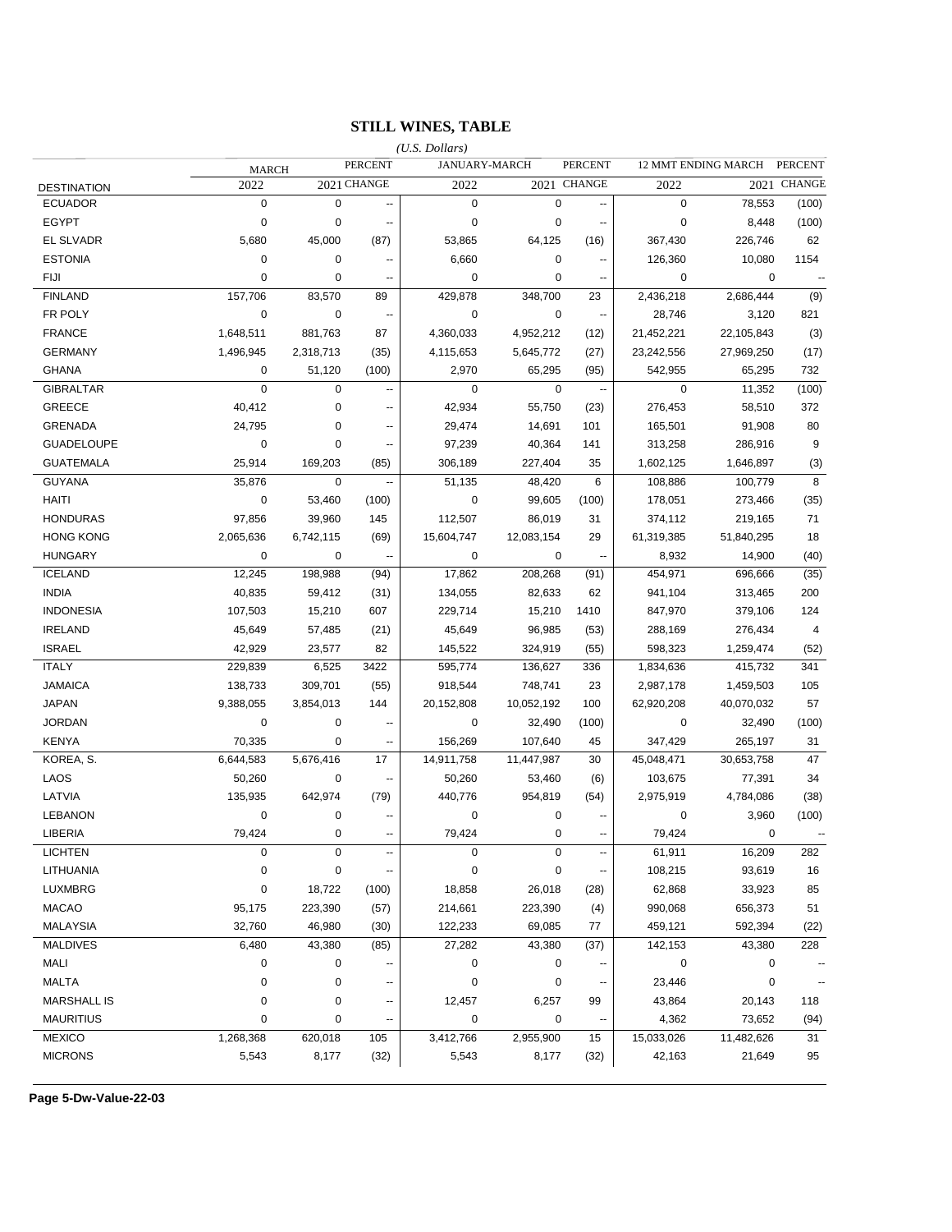### **STILL WINES, TABLE**

|                    |              |             |                          | $(U.S.$ Dollars) |                  |                          |             |                     |                |
|--------------------|--------------|-------------|--------------------------|------------------|------------------|--------------------------|-------------|---------------------|----------------|
|                    | <b>MARCH</b> |             | <b>PERCENT</b>           |                  | JANUARY-MARCH    | <b>PERCENT</b>           |             | 12 MMT ENDING MARCH | <b>PERCENT</b> |
| <b>DESTINATION</b> | 2022         |             | 2021 CHANGE              | 2022             |                  | 2021 CHANGE              | 2022        |                     | 2021 CHANGE    |
| <b>ECUADOR</b>     | $\mathbf 0$  | 0           | Ξ.                       | $\pmb{0}$        | $\overline{0}$   | --                       | 0           | 78,553              | (100)          |
| <b>EGYPT</b>       | $\mathbf 0$  | 0           | --                       | $\mathbf 0$      | 0                | $\overline{\phantom{a}}$ | 0           | 8,448               | (100)          |
| <b>EL SLVADR</b>   | 5,680        | 45,000      | (87)                     | 53,865           | 64,125           | (16)                     | 367,430     | 226,746             | 62             |
| <b>ESTONIA</b>     | 0            | 0           | ۰.                       | 6,660            | 0                | $\overline{\phantom{a}}$ | 126,360     | 10,080              | 1154           |
| <b>FIJI</b>        | $\mathbf 0$  | 0           | ⊷                        | $\mathbf 0$      | 0                | $\overline{\phantom{a}}$ | 0           | 0                   | ÷              |
| <b>FINLAND</b>     | 157,706      | 83,570      | 89                       | 429,878          | 348,700          | 23                       | 2,436,218   | 2,686,444           | (9)            |
| FR POLY            | 0            | 0           | $\overline{\phantom{a}}$ | 0                | 0                | $\overline{\phantom{a}}$ | 28,746      | 3,120               | 821            |
| <b>FRANCE</b>      | 1,648,511    | 881,763     | 87                       | 4,360,033        | 4,952,212        | (12)                     | 21,452,221  | 22,105,843          | (3)            |
| <b>GERMANY</b>     | 1,496,945    | 2,318,713   | (35)                     | 4,115,653        | 5,645,772        | (27)                     | 23,242,556  | 27,969,250          | (17)           |
| <b>GHANA</b>       | 0            | 51,120      | (100)                    | 2,970            | 65,295           | (95)                     | 542,955     | 65,295              | 732            |
| <b>GIBRALTAR</b>   | $\mathbf 0$  | 0           | --                       | $\mathbf 0$      | $\mathbf 0$      | $\ddotsc$                | $\mathbf 0$ | 11,352              | (100)          |
| GREECE             | 40,412       | 0           | --                       | 42,934           | 55,750           | (23)                     | 276,453     | 58,510              | 372            |
| <b>GRENADA</b>     | 24,795       | 0           | --                       | 29,474           | 14,691           | 101                      | 165,501     | 91,908              | 80             |
| <b>GUADELOUPE</b>  | 0            | 0           | --                       | 97,239           | 40,364           | 141                      | 313,258     | 286,916             | 9              |
| <b>GUATEMALA</b>   | 25,914       | 169,203     | (85)                     | 306,189          | 227,404          | 35                       | 1,602,125   | 1,646,897           | (3)            |
| <b>GUYANA</b>      | 35,876       | $\mathbf 0$ | $\overline{\phantom{a}}$ | 51,135           | 48,420           | 6                        | 108,886     | 100,779             | 8              |
| <b>HAITI</b>       | $\mathbf 0$  | 53,460      | (100)                    | $\mathbf 0$      | 99,605           | (100)                    | 178,051     | 273,466             | (35)           |
| <b>HONDURAS</b>    | 97,856       | 39,960      | 145                      | 112,507          | 86,019           | 31                       | 374,112     | 219,165             | 71             |
| <b>HONG KONG</b>   | 2,065,636    | 6,742,115   | (69)                     | 15,604,747       | 12,083,154       | 29                       | 61,319,385  | 51,840,295          | 18             |
| <b>HUNGARY</b>     | $\mathbf 0$  | 0           | $\ddotsc$                | 0                | 0                | $\overline{\phantom{a}}$ | 8,932       | 14,900              | (40)           |
| <b>ICELAND</b>     | 12,245       | 198,988     | (94)                     | 17,862           | 208,268          | (91)                     | 454,971     | 696,666             | (35)           |
| <b>INDIA</b>       | 40,835       | 59,412      | (31)                     | 134,055          | 82,633           | 62                       | 941,104     | 313,465             | 200            |
| <b>INDONESIA</b>   | 107,503      | 15,210      | 607                      | 229,714          | 15,210           | 1410                     | 847,970     | 379,106             | 124            |
| <b>IRELAND</b>     | 45,649       | 57,485      | (21)                     | 45,649           | 96,985           | (53)                     | 288,169     | 276,434             | $\overline{4}$ |
| <b>ISRAEL</b>      | 42,929       | 23,577      | 82                       | 145,522          | 324,919          | (55)                     | 598,323     | 1,259,474           | (52)           |
| <b>ITALY</b>       | 229,839      | 6,525       | 3422                     | 595,774          | 136,627          | 336                      | 1,834,636   | 415,732             | 341            |
| <b>JAMAICA</b>     | 138,733      | 309,701     | (55)                     | 918,544          | 748,741          | 23                       | 2,987,178   | 1,459,503           | 105            |
| <b>JAPAN</b>       | 9,388,055    | 3,854,013   | 144                      | 20,152,808       | 10,052,192       | 100                      | 62,920,208  | 40,070,032          | 57             |
| <b>JORDAN</b>      | 0            | 0           | $\overline{\phantom{a}}$ | 0                | 32,490           | (100)                    | 0           | 32,490              | (100)          |
| <b>KENYA</b>       | 70,335       | 0           | --                       | 156,269          | 107,640          | 45                       | 347,429     | 265,197             | 31             |
| KOREA, S.          | 6,644,583    | 5,676,416   | 17                       | 14,911,758       | 11,447,987       | 30                       | 45,048,471  | 30,653,758          | 47             |
| LAOS               | 50,260       | 0           | $\overline{\phantom{a}}$ | 50,260           | 53,460           | (6)                      | 103,675     | 77,391              | 34             |
| LATVIA             | 135,935      | 642,974     | (79)                     | 440,776          | 954,819          | (54)                     | 2,975,919   | 4,784,086           | (38)           |
| <b>LEBANON</b>     | $\mathbf 0$  | 0           |                          | $\mathbf 0$      | 0                |                          | 0           | 3,960               | (100)          |
| LIBERIA            | 79,424       | 0           | --                       | 79,424           | 0                | $\sim$                   | 79,424      | $\mathbf 0$         |                |
| <b>LICHTEN</b>     | 0            | 0           |                          | 0                | 0                |                          | 61,911      | 16,209              | 282            |
| LITHUANIA          | 0            | 0           |                          | 0                | $\pmb{0}$        |                          | 108,215     | 93,619              | 16             |
| LUXMBRG            | 0            | 18,722      | (100)                    | 18,858           | 26,018           | (28)                     | 62,868      | 33,923              | 85             |
| <b>MACAO</b>       | 95,175       | 223,390     | (57)                     | 214,661          | 223,390          | (4)                      | 990,068     | 656,373             | 51             |
| <b>MALAYSIA</b>    | 32,760       | 46,980      | (30)                     | 122,233          | 69,085           | 77                       | 459,121     | 592,394             | (22)           |
| <b>MALDIVES</b>    | 6,480        | 43,380      | (85)                     | 27,282           | 43,380           | (37)                     | 142,153     | 43,380              | 228            |
| MALI               | $\pmb{0}$    | 0           |                          | 0                | $\boldsymbol{0}$ |                          | 0           | 0                   |                |
| <b>MALTA</b>       | 0            | 0           |                          | 0                | $\pmb{0}$        | ۰.                       | 23,446      | 0                   |                |
| <b>MARSHALL IS</b> | 0            | 0           |                          | 12,457           | 6,257            | 99                       | 43,864      | 20,143              | 118            |
| <b>MAURITIUS</b>   | 0            | 0           |                          | $\mathbf 0$      | $\mathbf 0$      |                          | 4,362       | 73,652              | (94)           |
| <b>MEXICO</b>      | 1,268,368    | 620,018     | 105                      | 3,412,766        | 2,955,900        | 15                       | 15,033,026  | 11,482,626          | 31             |
| <b>MICRONS</b>     | 5,543        | 8,177       | (32)                     | 5,543            | 8,177            | (32)                     | 42,163      | 21,649              | 95             |
|                    |              |             |                          |                  |                  |                          |             |                     |                |

**Page 5-Dw-Value-22-03**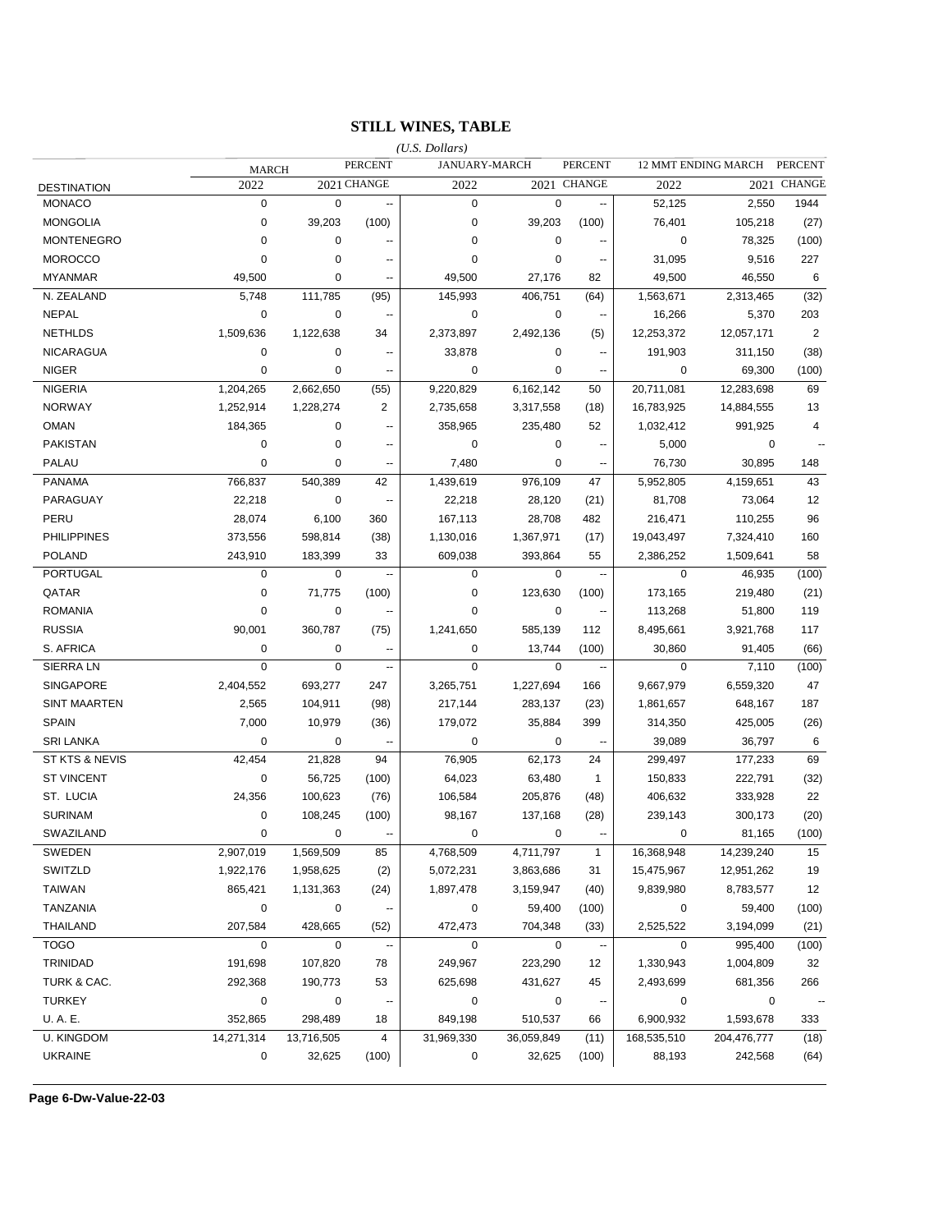### **STILL WINES, TABLE**

|                     |              |             |                          | $(U.S.$ Dollars) |             |                          |             |                     |                      |
|---------------------|--------------|-------------|--------------------------|------------------|-------------|--------------------------|-------------|---------------------|----------------------|
|                     | <b>MARCH</b> |             | <b>PERCENT</b>           | JANUARY-MARCH    |             | <b>PERCENT</b>           |             | 12 MMT ENDING MARCH | <b>PERCENT</b>       |
| <b>DESTINATION</b>  | 2022         |             | 2021 CHANGE              | 2022             |             | 2021 CHANGE              | 2022        |                     | 2021 CHANGE          |
| <b>MONACO</b>       | $\mathbf 0$  | $\mathbf 0$ | --                       | $\pmb{0}$        | $\mathbf 0$ | $\overline{\phantom{a}}$ | 52.125      | 2,550               | 1944                 |
| <b>MONGOLIA</b>     | $\mathbf 0$  | 39,203      | (100)                    | $\mathbf 0$      | 39,203      | (100)                    | 76,401      | 105,218             | (27)                 |
| <b>MONTENEGRO</b>   | 0            | 0           |                          | 0                | 0           |                          | 0           | 78,325              | (100)                |
| <b>MOROCCO</b>      | $\mathbf 0$  | 0           | --                       | 0                | $\mathbf 0$ |                          | 31,095      | 9,516               | 227                  |
| <b>MYANMAR</b>      | 49,500       | 0           | --                       | 49,500           | 27,176      | 82                       | 49,500      | 46,550              | 6                    |
| N. ZEALAND          | 5,748        | 111,785     | (95)                     | 145,993          | 406,751     | (64)                     | 1,563,671   | 2,313,465           | (32)                 |
| <b>NEPAL</b>        | 0            | 0           | $\overline{\phantom{a}}$ | 0                | 0           | $\sim$                   | 16,266      | 5,370               | 203                  |
| <b>NETHLDS</b>      | 1,509,636    | 1,122,638   | 34                       | 2,373,897        | 2,492,136   | (5)                      | 12,253,372  | 12,057,171          | $\overline{2}$       |
| <b>NICARAGUA</b>    | 0            | 0           | $\overline{\phantom{a}}$ | 33,878           | 0           | $\overline{\phantom{a}}$ | 191,903     | 311,150             | (38)                 |
| <b>NIGER</b>        | 0            | 0           | --                       | 0                | 0           | $\overline{\phantom{a}}$ | 0           | 69,300              | (100)                |
| <b>NIGERIA</b>      | 1,204,265    | 2,662,650   | (55)                     | 9,220,829        | 6,162,142   | 50                       | 20,711,081  | 12,283,698          | 69                   |
| <b>NORWAY</b>       | 1,252,914    | 1,228,274   | 2                        | 2,735,658        | 3,317,558   | (18)                     | 16,783,925  | 14,884,555          | 13                   |
| <b>OMAN</b>         | 184,365      | 0           | $\sim$                   | 358,965          | 235,480     | 52                       | 1,032,412   | 991,925             | 4                    |
| <b>PAKISTAN</b>     | $\mathbf 0$  | 0           | $\overline{\phantom{a}}$ | $\mathbf 0$      | $\mathbf 0$ |                          | 5,000       | 0                   |                      |
| PALAU               | $\mathbf 0$  | 0           | --                       | 7,480            | $\mathbf 0$ |                          | 76,730      | 30,895              | 148                  |
| <b>PANAMA</b>       | 766,837      | 540,389     | 42                       | 1,439,619        | 976,109     | 47                       | 5,952,805   | 4,159,651           | 43                   |
| PARAGUAY            | 22,218       | $\mathbf 0$ | $\ddotsc$                | 22,218           | 28,120      | (21)                     | 81,708      | 73,064              | 12                   |
| PERU                | 28,074       | 6,100       | 360                      | 167,113          | 28,708      | 482                      | 216,471     | 110,255             | 96                   |
| <b>PHILIPPINES</b>  | 373,556      | 598,814     | (38)                     | 1,130,016        | 1,367,971   | (17)                     | 19,043,497  | 7,324,410           | 160                  |
| <b>POLAND</b>       | 243,910      | 183,399     | 33                       | 609,038          | 393,864     | 55                       | 2,386,252   | 1,509,641           | 58                   |
| <b>PORTUGAL</b>     | $\mathbf 0$  | $\mathbf 0$ | $\overline{\phantom{a}}$ | $\mathbf 0$      | $\mathbf 0$ | $\sim$                   | $\mathbf 0$ | 46,935              | (100)                |
| QATAR               | 0            | 71,775      | (100)                    | 0                | 123,630     | (100)                    | 173,165     | 219,480             | (21)                 |
| <b>ROMANIA</b>      | 0            | 0           |                          | 0                | 0           |                          | 113,268     | 51,800              | 119                  |
| <b>RUSSIA</b>       | 90,001       | 360,787     | (75)                     | 1,241,650        | 585,139     | 112                      | 8,495,661   | 3,921,768           | 117                  |
| S. AFRICA           | 0            | 0           | $\overline{a}$           | 0                | 13,744      | (100)                    | 30,860      | 91,405              | (66)                 |
| <b>SIERRALN</b>     | $\mathbf 0$  | $\mathbf 0$ | $\ddotsc$                | 0                | $\mathbf 0$ | $\sim$                   | 0           | 7,110               | (100)                |
| <b>SINGAPORE</b>    | 2,404,552    | 693,277     | 247                      | 3,265,751        | 1,227,694   | 166                      | 9,667,979   | 6,559,320           | 47                   |
| <b>SINT MAARTEN</b> | 2,565        | 104,911     | (98)                     | 217,144          | 283,137     | (23)                     | 1,861,657   | 648,167             | 187                  |
| <b>SPAIN</b>        | 7,000        | 10,979      | (36)                     | 179,072          | 35,884      | 399                      | 314,350     | 425,005             | (26)                 |
| <b>SRI LANKA</b>    | $\mathbf 0$  | 0           | $\overline{\phantom{a}}$ | 0                | 0           | $\sim$                   | 39,089      | 36,797              | 6                    |
| ST KTS & NEVIS      | 42,454       | 21,828      | 94                       | 76,905           | 62,173      | 24                       | 299,497     | 177,233             | 69                   |
| <b>ST VINCENT</b>   | $\mathbf 0$  | 56,725      | (100)                    | 64,023           | 63,480      | $\mathbf{1}$             | 150,833     | 222,791             | (32)                 |
| ST. LUCIA           | 24,356       | 100,623     | (76)                     | 106,584          | 205,876     | (48)                     | 406,632     | 333,928             | 22                   |
| <b>SURINAM</b>      | $\mathbf 0$  | 108,245     | (100)                    | 98,167           | 137,168     | (28)                     | 239,143     | 300,173             | (20)                 |
| SWAZILAND           | $\mathbf 0$  | $\mathbf 0$ | $\overline{\phantom{a}}$ | $\mathbf 0$      | $\mathbf 0$ | $\overline{\phantom{a}}$ | $\mathbf 0$ | 81,165              | (100)                |
| SWEDEN              | 2,907,019    | 1,569,509   | 85                       | 4,768,509        | 4,711,797   | $\mathbf{1}$             | 16,368,948  | 14,239,240          | 15                   |
| SWITZLD             | 1,922,176    | 1,958,625   | (2)                      | 5,072,231        | 3,863,686   | 31                       | 15,475,967  | 12,951,262          | 19                   |
| <b>TAIWAN</b>       | 865,421      | 1,131,363   | (24)                     | 1,897,478        | 3,159,947   | (40)                     | 9,839,980   | 8,783,577           | 12                   |
| <b>TANZANIA</b>     | $\mathbf 0$  | $\pmb{0}$   | $\overline{\phantom{a}}$ | 0                | 59,400      | (100)                    | $\pmb{0}$   | 59,400              | (100)                |
| <b>THAILAND</b>     | 207,584      | 428,665     | (52)                     | 472,473          | 704,348     | (33)                     | 2,525,522   | 3,194,099           | (21)                 |
| <b>TOGO</b>         | $\mathbf 0$  | $\mathbf 0$ |                          | $\mathbf 0$      | $\mathbf 0$ |                          | 0           | 995,400             | (100)                |
| TRINIDAD            | 191,698      | 107,820     | 78                       | 249,967          | 223,290     | 12                       | 1,330,943   | 1,004,809           | 32                   |
| TURK & CAC.         | 292,368      | 190,773     | 53                       | 625,698          | 431,627     | 45                       | 2,493,699   | 681,356             | 266                  |
| <b>TURKEY</b>       | $\pmb{0}$    | $\mathbf 0$ | ÷                        | $\mathbf 0$      | $\mathbf 0$ | $\overline{\phantom{a}}$ | 0           | 0                   | $\ddot{\phantom{a}}$ |
| U.A.E.              | 352,865      | 298,489     | 18                       | 849,198          | 510,537     | 66                       | 6,900,932   | 1,593,678           | 333                  |
| <b>U. KINGDOM</b>   | 14,271,314   | 13,716,505  | 4                        | 31,969,330       | 36,059,849  | (11)                     | 168,535,510 | 204,476,777         | (18)                 |
| <b>UKRAINE</b>      | 0            | 32,625      | (100)                    | 0                | 32,625      | (100)                    | 88,193      | 242,568             | (64)                 |
|                     |              |             |                          |                  |             |                          |             |                     |                      |

**Page 6-Dw-Value-22-03**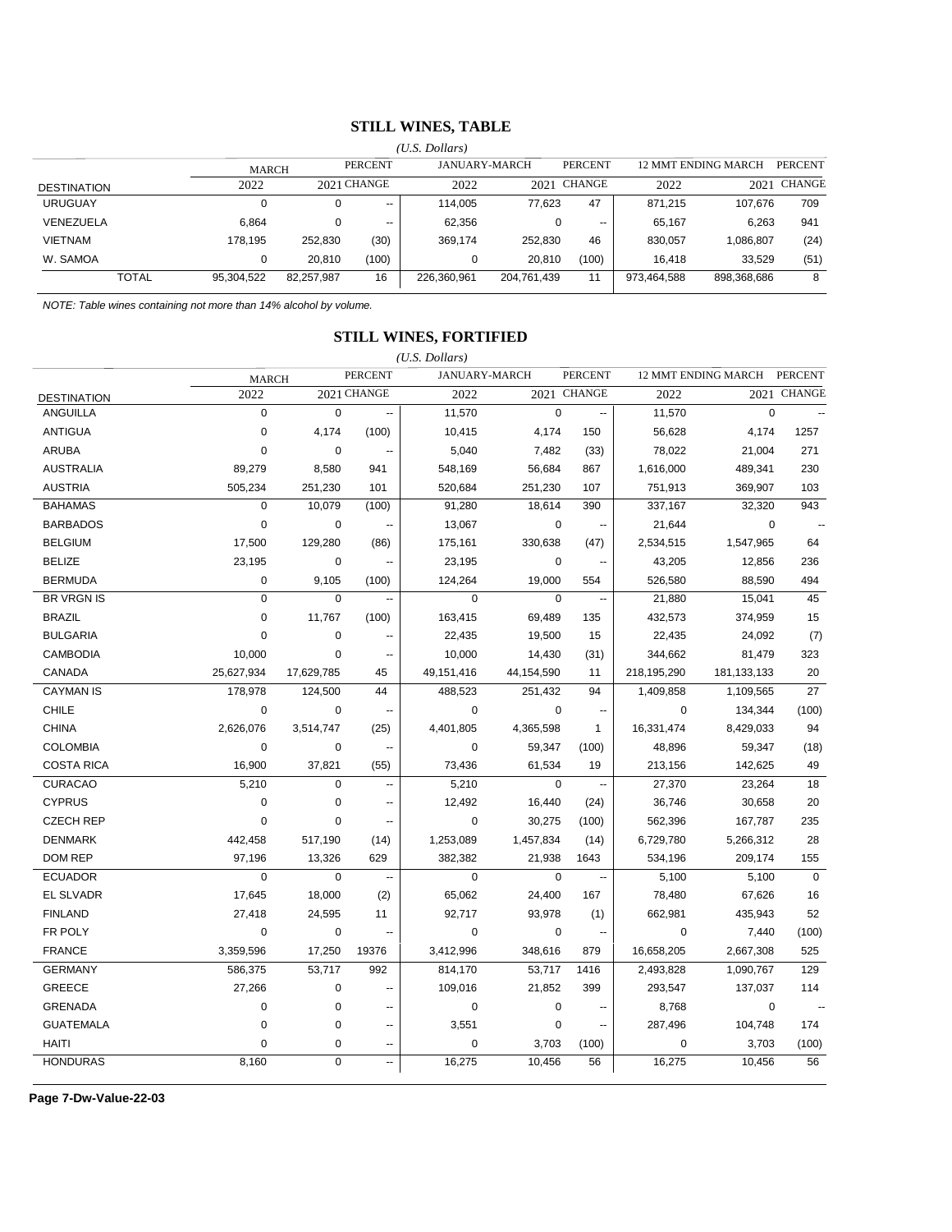#### **STILL WINES, TABLE**

|                    |            |            |                          | $(U.S.$ Dollars) |               |                          |                                       |             |             |
|--------------------|------------|------------|--------------------------|------------------|---------------|--------------------------|---------------------------------------|-------------|-------------|
|                    | MARCH      |            | <b>PERCENT</b>           |                  | JANUARY-MARCH |                          | 12 MMT ENDING MARCH<br><b>PERCENT</b> |             |             |
| <b>DESTINATION</b> | 2022       |            | 2021 CHANGE              | 2022             |               | 2021 CHANGE              | 2022                                  |             | 2021 CHANGE |
| <b>URUGUAY</b>     |            | 0          | $\overline{\phantom{a}}$ | 114.005          | 77.623        | 47                       | 871.215                               | 107.676     | 709         |
| VENEZUELA          | 6.864      |            | $- -$                    | 62,356           |               | $\overline{\phantom{a}}$ | 65.167                                | 6.263       | 941         |
| VIETNAM            | 178.195    | 252,830    | (30)                     | 369.174          | 252.830       | 46                       | 830.057                               | 086,807     | (24)        |
| W. SAMOA           |            | 20.810     | (100)                    | 0                | 20,810        | (100)                    | 16.418                                | 33.529      | (51)        |
| <b>TOTAL</b>       | 95,304,522 | 82,257,987 | 16                       | 226,360,961      | 204,761,439   | 11                       | 973,464,588                           | 898,368,686 | 8           |

*NOTE: Table wines containing not more than 14% alcohol by volume.*

### **STILL WINES, FORTIFIED**

|                    |              |             |                          | $(U.S.$ Dollars)     |             |                          |             |                            |                |
|--------------------|--------------|-------------|--------------------------|----------------------|-------------|--------------------------|-------------|----------------------------|----------------|
|                    | <b>MARCH</b> |             | <b>PERCENT</b>           | <b>JANUARY-MARCH</b> |             | <b>PERCENT</b>           |             | <b>12 MMT ENDING MARCH</b> | <b>PERCENT</b> |
| <b>DESTINATION</b> | 2022         |             | 2021 CHANGE              | 2022                 |             | 2021 CHANGE              | 2022        | 2021                       | <b>CHANGE</b>  |
| <b>ANGUILLA</b>    | 0            | $\mathbf 0$ | --                       | 11,570               | $\mathbf 0$ | Ξ.                       | 11,570      | $\mathbf 0$                |                |
| <b>ANTIGUA</b>     | $\mathbf 0$  | 4,174       | (100)                    | 10,415               | 4,174       | 150                      | 56,628      | 4,174                      | 1257           |
| <b>ARUBA</b>       | $\mathbf 0$  | $\mathbf 0$ | --                       | 5,040                | 7,482       | (33)                     | 78,022      | 21,004                     | 271            |
| <b>AUSTRALIA</b>   | 89,279       | 8,580       | 941                      | 548,169              | 56,684      | 867                      | 1,616,000   | 489,341                    | 230            |
| <b>AUSTRIA</b>     | 505,234      | 251,230     | 101                      | 520,684              | 251,230     | 107                      | 751,913     | 369,907                    | 103            |
| <b>BAHAMAS</b>     | $\mathbf 0$  | 10,079      | (100)                    | 91,280               | 18,614      | 390                      | 337,167     | 32,320                     | 943            |
| <b>BARBADOS</b>    | $\mathbf 0$  | $\mathbf 0$ | --                       | 13,067               | 0           | $\overline{\phantom{a}}$ | 21,644      | $\mathbf 0$                |                |
| <b>BELGIUM</b>     | 17,500       | 129,280     | (86)                     | 175,161              | 330,638     | (47)                     | 2,534,515   | 1,547,965                  | 64             |
| <b>BELIZE</b>      | 23,195       | 0           | Ξ.                       | 23,195               | 0           | $\overline{\phantom{a}}$ | 43,205      | 12,856                     | 236            |
| <b>BERMUDA</b>     | $\mathbf 0$  | 9,105       | (100)                    | 124,264              | 19,000      | 554                      | 526,580     | 88,590                     | 494            |
| <b>BR VRGN IS</b>  | $\mathbf 0$  | $\mathbf 0$ | ц,                       | $\Omega$             | $\Omega$    | --                       | 21,880      | 15,041                     | 45             |
| <b>BRAZIL</b>      | $\mathbf 0$  | 11,767      | (100)                    | 163,415              | 69,489      | 135                      | 432,573     | 374,959                    | 15             |
| <b>BULGARIA</b>    | $\mathbf 0$  | $\pmb{0}$   |                          | 22,435               | 19,500      | 15                       | 22,435      | 24,092                     | (7)            |
| <b>CAMBODIA</b>    | 10,000       | $\mathbf 0$ | Ξ.                       | 10,000               | 14,430      | (31)                     | 344,662     | 81,479                     | 323            |
| CANADA             | 25,627,934   | 17,629,785  | 45                       | 49,151,416           | 44,154,590  | 11                       | 218,195,290 | 181, 133, 133              | 20             |
| <b>CAYMAN IS</b>   | 178,978      | 124,500     | 44                       | 488,523              | 251,432     | 94                       | 1,409,858   | 1,109,565                  | 27             |
| <b>CHILE</b>       | $\mathbf 0$  | 0           | ٠.                       | $\mathbf 0$          | 0           | --                       | $\mathbf 0$ | 134,344                    | (100)          |
| <b>CHINA</b>       | 2,626,076    | 3,514,747   | (25)                     | 4,401,805            | 4,365,598   | $\mathbf{1}$             | 16,331,474  | 8,429,033                  | 94             |
| <b>COLOMBIA</b>    | $\mathbf 0$  | 0           | $\overline{\phantom{a}}$ | $\mathbf 0$          | 59,347      | (100)                    | 48,896      | 59,347                     | (18)           |
| <b>COSTA RICA</b>  | 16,900       | 37,821      | (55)                     | 73,436               | 61,534      | 19                       | 213,156     | 142,625                    | 49             |
| <b>CURACAO</b>     | 5,210        | $\mathbf 0$ | --                       | 5,210                | $\Omega$    | $\overline{\phantom{a}}$ | 27,370      | 23,264                     | 18             |
| <b>CYPRUS</b>      | $\mathbf 0$  | $\pmb{0}$   | $\overline{\phantom{a}}$ | 12,492               | 16,440      | (24)                     | 36,746      | 30,658                     | 20             |
| <b>CZECH REP</b>   | $\mathbf 0$  | 0           | --                       | $\mathbf 0$          | 30,275      | (100)                    | 562,396     | 167,787                    | 235            |
| <b>DENMARK</b>     | 442,458      | 517,190     | (14)                     | 1,253,089            | 1,457,834   | (14)                     | 6,729,780   | 5,266,312                  | 28             |
| <b>DOM REP</b>     | 97,196       | 13,326      | 629                      | 382,382              | 21,938      | 1643                     | 534,196     | 209,174                    | 155            |
| <b>ECUADOR</b>     | $\Omega$     | $\mathbf 0$ | Ξ.                       | $\Omega$             | $\Omega$    | $\overline{\phantom{a}}$ | 5,100       | 5,100                      | $\Omega$       |
| <b>EL SLVADR</b>   | 17,645       | 18,000      | (2)                      | 65,062               | 24,400      | 167                      | 78,480      | 67,626                     | 16             |
| <b>FINLAND</b>     | 27,418       | 24,595      | 11                       | 92,717               | 93,978      | (1)                      | 662,981     | 435,943                    | 52             |
| FR POLY            | $\mathbf 0$  | $\pmb{0}$   |                          | 0                    | 0           | $\sim$                   | $\mathbf 0$ | 7,440                      | (100)          |
| <b>FRANCE</b>      | 3,359,596    | 17,250      | 19376                    | 3,412,996            | 348,616     | 879                      | 16,658,205  | 2,667,308                  | 525            |
| <b>GERMANY</b>     | 586,375      | 53,717      | 992                      | 814,170              | 53,717      | 1416                     | 2,493,828   | 1,090,767                  | 129            |
| <b>GREECE</b>      | 27,266       | $\pmb{0}$   | $\overline{\phantom{a}}$ | 109,016              | 21,852      | 399                      | 293,547     | 137,037                    | 114            |
| <b>GRENADA</b>     | $\mathbf 0$  | $\pmb{0}$   | --                       | $\mathbf 0$          | $\mathbf 0$ | $\overline{a}$           | 8,768       | $\mathbf 0$                |                |
| <b>GUATEMALA</b>   | $\mathbf 0$  | $\pmb{0}$   | --                       | 3,551                | $\mathbf 0$ | --                       | 287,496     | 104,748                    | 174            |
| <b>HAITI</b>       | 0            | 0           | ٠.                       | $\mathbf 0$          | 3,703       | (100)                    | $\mathbf 0$ | 3,703                      | (100)          |
| <b>HONDURAS</b>    | 8,160        | 0           | --                       | 16,275               | 10,456      | 56                       | 16,275      | 10,456                     | 56             |

**Page 7-Dw-Value-22-03**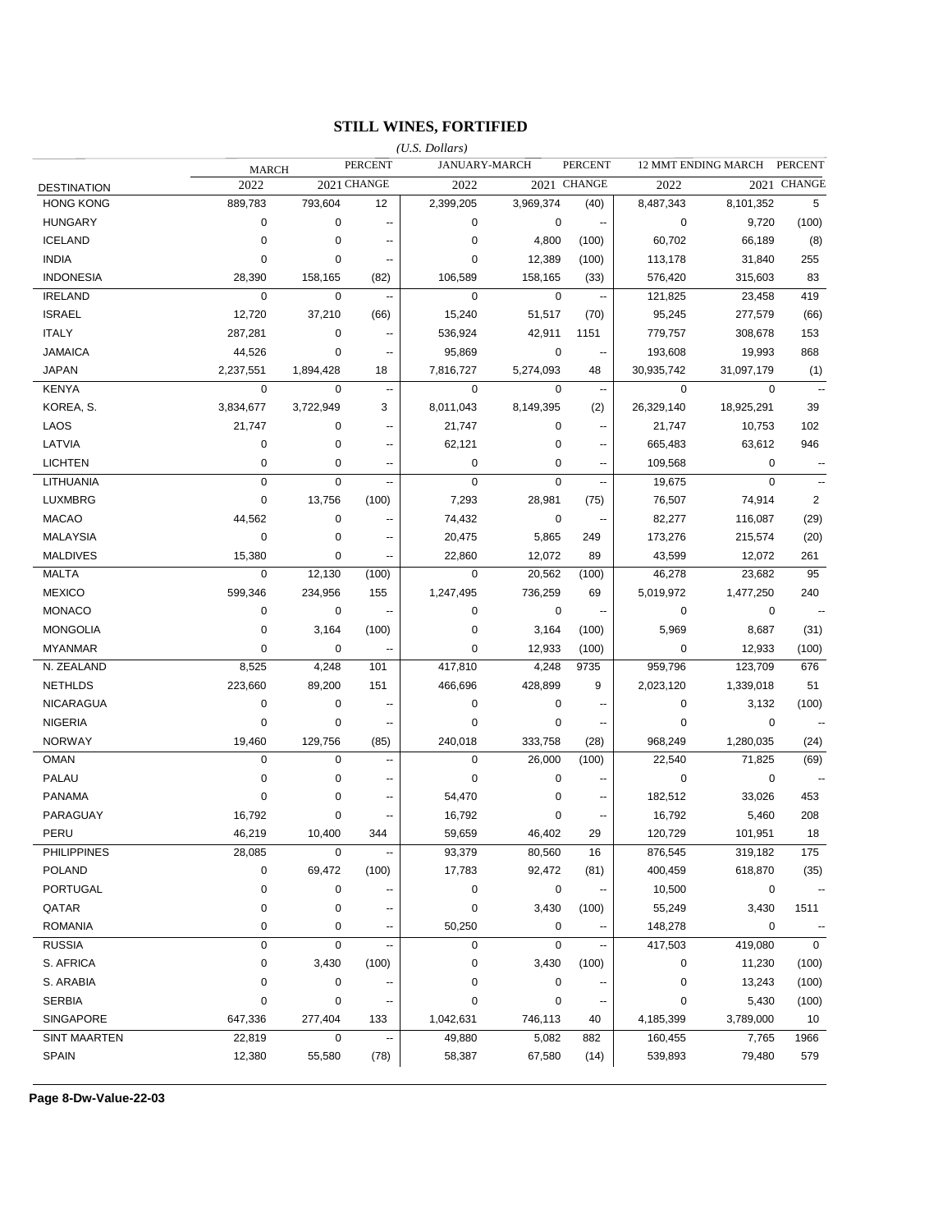### **STILL WINES, FORTIFIED**

|                     |              |           |                          | $(U.S.$ Dollars) |               |                          |             |                     |                      |
|---------------------|--------------|-----------|--------------------------|------------------|---------------|--------------------------|-------------|---------------------|----------------------|
|                     | <b>MARCH</b> |           | <b>PERCENT</b>           |                  | JANUARY-MARCH | <b>PERCENT</b>           |             | 12 MMT ENDING MARCH | <b>PERCENT</b>       |
| <b>DESTINATION</b>  | 2022         |           | 2021 CHANGE              | 2022             |               | 2021 CHANGE              | 2022        |                     | 2021 CHANGE          |
| <b>HONG KONG</b>    | 889,783      | 793,604   | 12                       | 2,399,205        | 3,969,374     | (40)                     | 8,487,343   | 8,101,352           | 5                    |
| <b>HUNGARY</b>      | 0            | 0         | --                       | 0                | 0             | $\overline{\phantom{a}}$ | 0           | 9,720               | (100)                |
| <b>ICELAND</b>      | 0            | 0         | $\overline{a}$           | $\mathbf 0$      | 4,800         | (100)                    | 60,702      | 66,189              | (8)                  |
| <b>INDIA</b>        | 0            | 0         | $\overline{\phantom{a}}$ | 0                | 12,389        | (100)                    | 113,178     | 31,840              | 255                  |
| <b>INDONESIA</b>    | 28,390       | 158,165   | (82)                     | 106,589          | 158,165       | (33)                     | 576,420     | 315,603             | 83                   |
| <b>IRELAND</b>      | $\mathbf 0$  | 0         | $\ddotsc$                | $\mathbf 0$      | $\mathbf 0$   | $\sim$                   | 121,825     | 23,458              | 419                  |
| <b>ISRAEL</b>       | 12,720       | 37,210    | (66)                     | 15,240           | 51,517        | (70)                     | 95,245      | 277,579             | (66)                 |
| <b>ITALY</b>        | 287,281      | 0         | --                       | 536,924          | 42,911        | 1151                     | 779,757     | 308,678             | 153                  |
| <b>JAMAICA</b>      | 44,526       | 0         | --                       | 95,869           | 0             | $\sim$                   | 193,608     | 19,993              | 868                  |
| <b>JAPAN</b>        | 2,237,551    | 1,894,428 | 18                       | 7,816,727        | 5,274,093     | 48                       | 30,935,742  | 31,097,179          | (1)                  |
| <b>KENYA</b>        | 0            | 0         | $\ddotsc$                | $\mathbf 0$      | 0             | $\sim$                   | 0           | 0                   |                      |
| KOREA, S.           | 3,834,677    | 3,722,949 | 3                        | 8,011,043        | 8,149,395     | (2)                      | 26,329,140  | 18,925,291          | 39                   |
| LAOS                | 21,747       | 0         | --                       | 21,747           | 0             | $\overline{\phantom{a}}$ | 21,747      | 10,753              | 102                  |
| LATVIA              | 0            | 0         | --                       | 62,121           | 0             | $\sim$                   | 665,483     | 63,612              | 946                  |
| <b>LICHTEN</b>      | 0            | 0         | --                       | 0                | 0             | $\sim$                   | 109,568     | 0                   |                      |
| LITHUANIA           | $\mathbf 0$  | 0         | --                       | $\mathbf 0$      | 0             | $\sim$                   | 19,675      | $\mathbf 0$         |                      |
| <b>LUXMBRG</b>      | 0            | 13,756    | (100)                    | 7,293            | 28,981        | (75)                     | 76,507      | 74,914              | $\overline{2}$       |
| <b>MACAO</b>        | 44,562       | 0         | ۰.                       | 74,432           | 0             | $\ddot{\phantom{1}}$     | 82,277      | 116,087             | (29)                 |
| <b>MALAYSIA</b>     | 0            | 0         | ۰.                       | 20,475           | 5,865         | 249                      | 173,276     | 215,574             | (20)                 |
| <b>MALDIVES</b>     | 15,380       | 0         | ۰.                       | 22,860           | 12,072        | 89                       | 43,599      | 12,072              | 261                  |
| <b>MALTA</b>        | 0            | 12,130    | (100)                    | 0                | 20,562        | (100)                    | 46,278      | 23,682              | 95                   |
| <b>MEXICO</b>       | 599,346      | 234,956   | 155                      | 1,247,495        | 736,259       | 69                       | 5,019,972   | 1,477,250           | 240                  |
| <b>MONACO</b>       | 0            | 0         | $\sim$                   | 0                | 0             | $\sim$                   | 0           | 0                   |                      |
| <b>MONGOLIA</b>     | 0            | 3,164     | (100)                    | 0                | 3,164         | (100)                    | 5,969       | 8,687               | (31)                 |
| <b>MYANMAR</b>      | 0            | 0         | --                       | 0                | 12,933        | (100)                    | 0           | 12,933              | (100)                |
| N. ZEALAND          | 8,525        | 4,248     | 101                      | 417,810          | 4,248         | 9735                     | 959,796     | 123,709             | 676                  |
| <b>NETHLDS</b>      | 223,660      | 89,200    | 151                      | 466,696          | 428,899       | 9                        | 2,023,120   | 1,339,018           | 51                   |
| NICARAGUA           | 0            | 0         | $\overline{\phantom{a}}$ | $\mathbf 0$      | 0             |                          | 0           | 3,132               | (100)                |
| <b>NIGERIA</b>      | 0            | 0         | $\overline{\phantom{a}}$ | $\mathbf 0$      | 0             |                          | 0           | 0                   |                      |
| <b>NORWAY</b>       | 19,460       | 129,756   | (85)                     | 240,018          | 333,758       | (28)                     | 968,249     | 1,280,035           | (24)                 |
| <b>OMAN</b>         | $\mathbf 0$  | 0         | --                       | $\mathbf 0$      | 26,000        | (100)                    | 22,540      | 71,825              | (69)                 |
| PALAU               | 0            | 0         | н.                       | $\mathbf 0$      | $\mathbf 0$   |                          | $\mathbf 0$ | 0                   |                      |
| <b>PANAMA</b>       | 0            | 0         | н.                       | 54,470           | 0             | --                       | 182,512     | 33,026              | 453                  |
| PARAGUAY            | 16,792       | 0         | н.                       | 16,792           | 0             | $\overline{a}$           | 16,792      | 5,460               | 208                  |
| PERU                | 46,219       | 10,400    | 344                      | 59,659           | 46,402        | 29                       | 120,729     | 101,951             | 18                   |
| <b>PHILIPPINES</b>  | 28,085       | 0         | --                       | 93,379           | 80,560        | 16                       | 876,545     | 319,182             | 175                  |
| <b>POLAND</b>       | 0            | 69,472    | (100)                    | 17,783           | 92,472        | (81)                     | 400,459     | 618,870             | (35)                 |
| PORTUGAL            | 0            | $\pmb{0}$ |                          | $\pmb{0}$        | $\pmb{0}$     |                          | 10,500      | $\pmb{0}$           | $\sim$               |
| QATAR               | 0            | 0         |                          | $\pmb{0}$        | 3,430         | (100)                    | 55,249      | 3,430               | 1511                 |
| <b>ROMANIA</b>      | 0            | 0         |                          | 50,250           | $\pmb{0}$     |                          | 148,278     | $\pmb{0}$           | $\ddot{\phantom{0}}$ |
| <b>RUSSIA</b>       | 0            | 0         |                          | $\pmb{0}$        | $\pmb{0}$     |                          | 417,503     | 419,080             | $\mathbf 0$          |
| S. AFRICA           | 0            | 3,430     | (100)                    | $\pmb{0}$        | 3,430         | (100)                    | 0           | 11,230              | (100)                |
| S. ARABIA           | 0            | $\pmb{0}$ |                          | $\pmb{0}$        | $\pmb{0}$     |                          | $\pmb{0}$   | 13,243              | (100)                |
| <b>SERBIA</b>       | 0            | 0         | $\overline{\phantom{a}}$ | $\pmb{0}$        | $\pmb{0}$     | $\overline{\phantom{a}}$ | $\mathbf 0$ |                     |                      |
| SINGAPORE           | 647,336      | 277,404   |                          | 1,042,631        | 746,113       |                          | 4,185,399   | 5,430<br>3,789,000  | (100)<br>10          |
| <b>SINT MAARTEN</b> | 22,819       | 0         | 133<br>--                | 49,880           | 5,082         | 40<br>882                |             | 7,765               | 1966                 |
| SPAIN               | 12,380       |           |                          |                  |               |                          | 160,455     |                     | 579                  |
|                     |              | 55,580    | (78)                     | 58,387           | 67,580        | (14)                     | 539,893     | 79,480              |                      |

**Page 8-Dw-Value-22-03**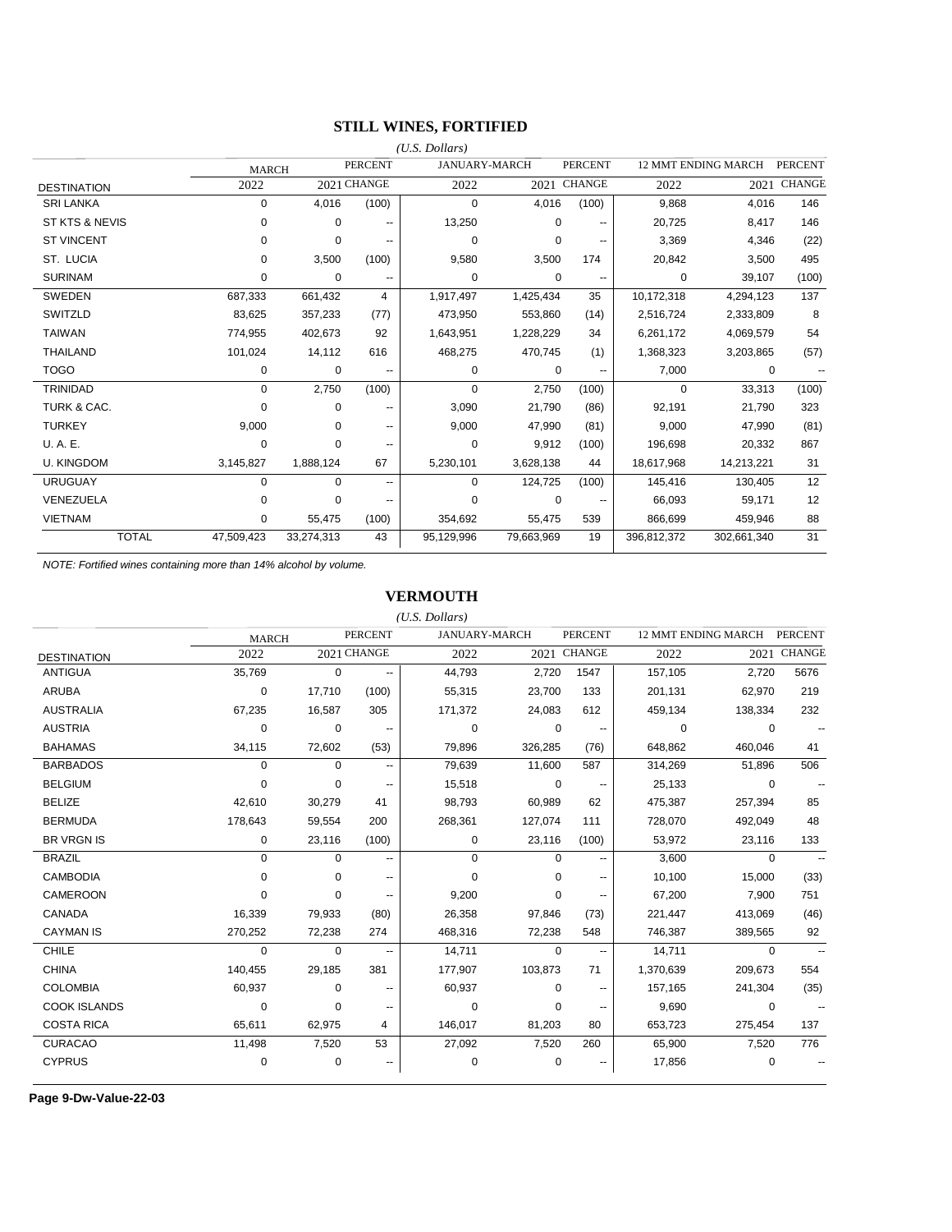### **STILL WINES, FORTIFIED**

|                        |                            |              |                          | $(U.S.$ Dollars) |                      |                               |             |                            |                |
|------------------------|----------------------------|--------------|--------------------------|------------------|----------------------|-------------------------------|-------------|----------------------------|----------------|
|                        |                            | <b>MARCH</b> | <b>PERCENT</b>           |                  | <b>JANUARY-MARCH</b> | <b>PERCENT</b>                |             | <b>12 MMT ENDING MARCH</b> | <b>PERCENT</b> |
| <b>DESTINATION</b>     | 2022                       |              | 2021 CHANGE              | 2022             |                      | 2021 CHANGE                   | 2022        | 2021                       | <b>CHANGE</b>  |
| <b>SRI LANKA</b>       | 0                          | 4,016        | (100)                    | $\mathbf 0$      | 4,016                | (100)                         | 9,868       | 4,016                      | 146            |
| ST KTS & NEVIS         | 0                          | 0            | --                       | 13,250           |                      | 0                             | 20,725      | 8,417                      | 146            |
| <b>ST VINCENT</b>      | 0                          | $\Omega$     | $-$                      | $\mathbf 0$      |                      | 0<br>$-$                      | 3,369       | 4,346                      | (22)           |
| ST. LUCIA              | 0                          | 3,500        | (100)                    | 9,580            | 3,500                | 174                           | 20,842      | 3,500                      | 495            |
| <b>SURINAM</b>         | 0                          | 0            | $-$                      | $\mathbf 0$      |                      | 0<br>$\overline{\phantom{a}}$ | 0           | 39,107                     | (100)          |
| SWEDEN                 | 687,333                    | 661,432      | 4                        | 1,917,497        | 1,425,434            | 35                            | 10,172,318  | 4,294,123                  | 137            |
| SWITZLD                | 83,625                     | 357,233      | (77)                     | 473,950          | 553,860              | (14)                          | 2,516,724   | 2,333,809                  | 8              |
| <b>TAIWAN</b>          | 774,955                    | 402,673      | 92                       | 1,643,951        | 1,228,229            | 34                            | 6,261,172   | 4,069,579                  | 54             |
| <b>THAILAND</b>        | 101,024                    | 14,112       | 616                      | 468,275          | 470,745              | (1)                           | 1,368,323   | 3,203,865                  | (57)           |
| <b>TOGO</b>            | 0                          | 0            | $\overline{\phantom{a}}$ | 0                |                      | 0<br>$\overline{\phantom{a}}$ | 7,000       | $\mathbf 0$                |                |
| <b>TRINIDAD</b>        | 0                          | 2,750        | (100)                    | $\Omega$         | 2,750                | (100)                         | 0           | 33,313                     | (100)          |
| <b>TURK &amp; CAC.</b> | 0                          | $\Omega$     |                          | 3,090            | 21,790               | (86)                          | 92,191      | 21,790                     | 323            |
| <b>TURKEY</b>          | 9,000                      | $\Omega$     | --                       | 9,000            | 47,990               | (81)                          | 9,000       | 47,990                     | (81)           |
| U. A. E.               | 0                          | $\Omega$     | --                       | $\mathbf 0$      | 9,912                | (100)                         | 196,698     | 20,332                     | 867            |
| <b>U. KINGDOM</b>      | 3,145,827                  | 1,888,124    | 67                       | 5,230,101        | 3,628,138            | 44                            | 18,617,968  | 14,213,221                 | 31             |
| <b>URUGUAY</b>         | 0                          | $\mathbf 0$  | $\overline{\phantom{a}}$ | $\mathbf 0$      | 124,725              | (100)                         | 145,416     | 130,405                    | 12             |
| VENEZUELA              | <sup>0</sup>               | $\Omega$     | --                       | $\Omega$         |                      | 0                             | 66,093      | 59,171                     | 12             |
| <b>VIETNAM</b>         | 0                          | 55,475       | (100)                    | 354,692          | 55,475               | 539                           | 866,699     | 459,946                    | 88             |
|                        | <b>TOTAL</b><br>47,509,423 | 33,274,313   | 43                       | 95,129,996       | 79,663,969           | 19                            | 396,812,372 | 302,661,340                | 31             |

*NOTE: Fortified wines containing more than 14% alcohol by volume.*

#### **VERMOUTH**

|                     |              |             |                | $(U.S.$ Dollars)     |             |                          |                     |          |                |
|---------------------|--------------|-------------|----------------|----------------------|-------------|--------------------------|---------------------|----------|----------------|
|                     | <b>MARCH</b> |             | <b>PERCENT</b> | <b>JANUARY-MARCH</b> |             | <b>PERCENT</b>           | 12 MMT ENDING MARCH |          | <b>PERCENT</b> |
| <b>DESTINATION</b>  | 2022         |             | 2021 CHANGE    | 2022                 |             | 2021 CHANGE              | 2022                |          | 2021 CHANGE    |
| ANTIGUA             | 35,769       | $\Omega$    | --             | 44,793               | 2,720       | 1547                     | 157,105             | 2,720    | 5676           |
| <b>ARUBA</b>        | 0            | 17,710      | (100)          | 55,315               | 23,700      | 133                      | 201,131             | 62,970   | 219            |
| <b>AUSTRALIA</b>    | 67,235       | 16,587      | 305            | 171,372              | 24,083      | 612                      | 459,134             | 138,334  | 232            |
| <b>AUSTRIA</b>      | $\Omega$     | $\mathbf 0$ | ۰.             | $\Omega$             | $\mathbf 0$ | $\overline{\phantom{a}}$ | $\Omega$            | $\Omega$ |                |
| <b>BAHAMAS</b>      | 34,115       | 72,602      | (53)           | 79,896               | 326,285     | (76)                     | 648,862             | 460,046  | 41             |
| <b>BARBADOS</b>     | $\Omega$     | $\Omega$    | --             | 79,639               | 11,600      | 587                      | 314,269             | 51,896   | 506            |
| <b>BELGIUM</b>      | $\Omega$     | $\Omega$    |                | 15,518               | 0           |                          | 25,133              | 0        |                |
| <b>BELIZE</b>       | 42,610       | 30,279      | 41             | 98,793               | 60,989      | 62                       | 475,387             | 257,394  | 85             |
| <b>BERMUDA</b>      | 178,643      | 59,554      | 200            | 268,361              | 127,074     | 111                      | 728,070             | 492,049  | 48             |
| <b>BR VRGN IS</b>   | 0            | 23,116      | (100)          | 0                    | 23,116      | (100)                    | 53,972              | 23,116   | 133            |
| <b>BRAZIL</b>       | $\mathbf 0$  | $\Omega$    | --             | $\Omega$             | $\Omega$    | $\overline{\phantom{a}}$ | 3,600               | 0        |                |
| <b>CAMBODIA</b>     | $\Omega$     | 0           | ۰.             | $\Omega$             | $\Omega$    | --                       | 10,100              | 15,000   | (33)           |
| CAMEROON            | $\Omega$     | 0           | --             | 9,200                | $\Omega$    |                          | 67,200              | 7,900    | 751            |
| CANADA              | 16,339       | 79,933      | (80)           | 26,358               | 97,846      | (73)                     | 221,447             | 413,069  | (46)           |
| <b>CAYMAN IS</b>    | 270,252      | 72,238      | 274            | 468,316              | 72,238      | 548                      | 746,387             | 389,565  | 92             |
| <b>CHILE</b>        | $\Omega$     | 0           | --             | 14,711               | $\Omega$    | $\overline{a}$           | 14,711              | 0        |                |
| <b>CHINA</b>        | 140,455      | 29,185      | 381            | 177,907              | 103,873     | 71                       | 1,370,639           | 209,673  | 554            |
| <b>COLOMBIA</b>     | 60,937       | 0           | --             | 60,937               | 0           | $\overline{\phantom{a}}$ | 157,165             | 241,304  | (35)           |
| <b>COOK ISLANDS</b> | $\Omega$     | $\Omega$    | --             | $\Omega$             | $\Omega$    | $\overline{\phantom{a}}$ | 9,690               | 0        |                |
| <b>COSTA RICA</b>   | 65,611       | 62,975      | 4              | 146,017              | 81,203      | 80                       | 653,723             | 275,454  | 137            |
| <b>CURACAO</b>      | 11,498       | 7,520       | 53             | 27,092               | 7,520       | 260                      | 65,900              | 7,520    | 776            |
| <b>CYPRUS</b>       | 0            | $\mathbf 0$ |                | 0                    | 0           |                          | 17,856              | 0        |                |

**Page 9-Dw-Value-22-03**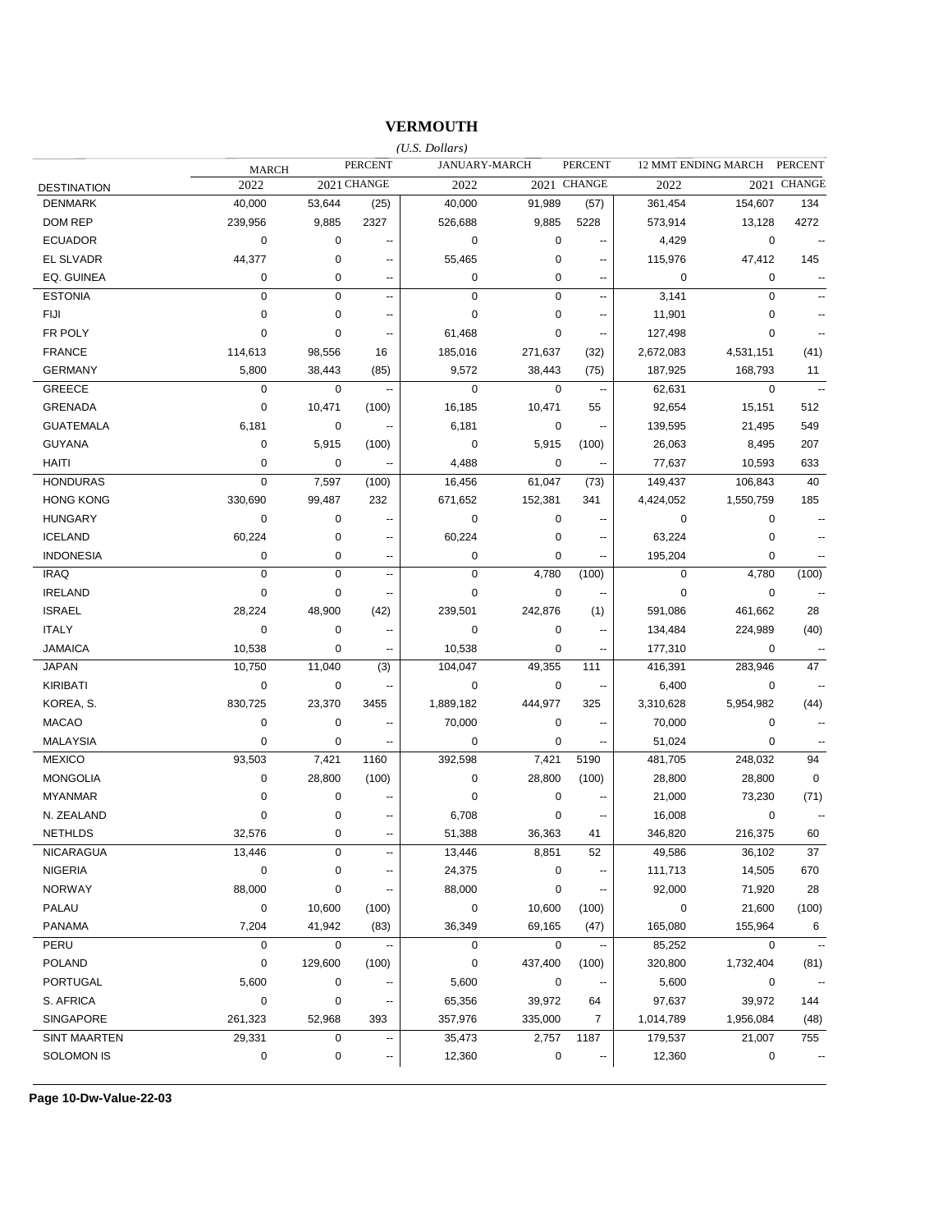### **VERMOUTH**

|                     |              |             |                          | $(U.S.$ Dollars) |               |                          |             |                     |                          |
|---------------------|--------------|-------------|--------------------------|------------------|---------------|--------------------------|-------------|---------------------|--------------------------|
|                     | <b>MARCH</b> |             | <b>PERCENT</b>           |                  | JANUARY-MARCH | <b>PERCENT</b>           |             | 12 MMT ENDING MARCH | PERCENT                  |
| <b>DESTINATION</b>  | 2022         |             | 2021 CHANGE              | 2022             |               | 2021 CHANGE              | 2022        |                     | 2021 CHANGE              |
| <b>DENMARK</b>      | 40,000       | 53,644      | (25)                     | 40,000           | 91,989        | (57)                     | 361,454     | 154,607             | 134                      |
| <b>DOM REP</b>      | 239,956      | 9,885       | 2327                     | 526,688          | 9,885         | 5228                     | 573,914     | 13,128              | 4272                     |
| <b>ECUADOR</b>      | 0            | 0           |                          | $\mathbf 0$      | 0             |                          | 4,429       | $\pmb{0}$           |                          |
| EL SLVADR           | 44,377       | $\pmb{0}$   | $\overline{\phantom{a}}$ | 55,465           | 0             | $\overline{a}$           | 115,976     | 47,412              | 145                      |
| EQ. GUINEA          | 0            | 0           | $\overline{\phantom{a}}$ | $\mathbf 0$      | 0             | ٠.                       | $\mathbf 0$ | 0                   | $\overline{a}$           |
| <b>ESTONIA</b>      | $\pmb{0}$    | $\pmb{0}$   | --                       | $\pmb{0}$        | 0             | $\sim$                   | 3,141       | $\pmb{0}$           |                          |
| <b>FIJI</b>         | 0            | 0           |                          | $\mathbf 0$      | 0             | --                       | 11,901      | 0                   |                          |
| FR POLY             | 0            | 0           | $\overline{\phantom{a}}$ | 61,468           | 0             | $\overline{\phantom{a}}$ | 127,498     | 0                   |                          |
| <b>FRANCE</b>       | 114,613      | 98,556      | 16                       | 185,016          | 271,637       | (32)                     | 2,672,083   | 4,531,151           | (41)                     |
| <b>GERMANY</b>      | 5,800        | 38,443      | (85)                     | 9,572            | 38,443        | (75)                     | 187,925     | 168,793             | 11                       |
| GREECE              | $\mathbf 0$  | $\mathbf 0$ | $\overline{\phantom{a}}$ | $\mathbf 0$      | $\mathbf 0$   | $\sim$                   | 62,631      | $\mathbf 0$         | $\sim$                   |
| GRENADA             | 0            | 10,471      | (100)                    | 16,185           | 10,471        | 55                       | 92,654      | 15,151              | 512                      |
| <b>GUATEMALA</b>    | 6,181        | 0           | $\overline{\phantom{a}}$ | 6,181            | $\pmb{0}$     | $\overline{\phantom{a}}$ | 139,595     | 21,495              | 549                      |
| <b>GUYANA</b>       | 0            | 5,915       | (100)                    | $\mathbf 0$      | 5,915         | (100)                    | 26,063      | 8,495               | 207                      |
| <b>HAITI</b>        | 0            | 0           | $\sim$                   | 4,488            | 0             | $\sim$                   | 77,637      | 10,593              | 633                      |
| <b>HONDURAS</b>     | $\pmb{0}$    | 7,597       | (100)                    | 16,456           | 61,047        | (73)                     | 149,437     | 106,843             | 40                       |
| <b>HONG KONG</b>    | 330,690      | 99,487      | 232                      | 671,652          | 152,381       | 341                      | 4,424,052   | 1,550,759           | 185                      |
| <b>HUNGARY</b>      | 0            | 0           | $\overline{\phantom{a}}$ | $\mathbf 0$      | $\pmb{0}$     | $\overline{\phantom{a}}$ | $\mathbf 0$ | $\pmb{0}$           | $\sim$ $\sim$            |
| <b>ICELAND</b>      | 60,224       | 0           | $\overline{\phantom{a}}$ | 60,224           | 0             | $\overline{\phantom{a}}$ | 63,224      | 0                   |                          |
| <b>INDONESIA</b>    | 0            | 0           | $\overline{\phantom{a}}$ | 0                | 0             | $\overline{a}$           | 195,204     | 0                   |                          |
| <b>IRAQ</b>         | $\pmb{0}$    | $\pmb{0}$   | $\overline{\phantom{a}}$ | $\mathbf 0$      | 4,780         | (100)                    | $\mathbf 0$ | 4,780               | (100)                    |
| <b>IRELAND</b>      | 0            | 0           | $\overline{\phantom{a}}$ | $\mathbf 0$      | $\mathbf 0$   |                          | $\mathbf 0$ | $\mathbf 0$         |                          |
| <b>ISRAEL</b>       | 28,224       | 48,900      | (42)                     | 239,501          | 242,876       | (1)                      | 591,086     | 461,662             | 28                       |
| <b>ITALY</b>        | 0            | 0           | --                       | $\mathbf 0$      | 0             | $\overline{a}$           | 134,484     | 224,989             | (40)                     |
| <b>JAMAICA</b>      | 10,538       | 0           | --                       | 10,538           | 0             | $\sim$                   | 177,310     | $\mathbf 0$         | $\overline{\phantom{a}}$ |
| <b>JAPAN</b>        | 10,750       | 11,040      | (3)                      | 104,047          | 49,355        | 111                      | 416,391     | 283,946             | 47                       |
| <b>KIRIBATI</b>     | 0            | 0           | --                       | $\mathbf 0$      | $\pmb{0}$     | $\overline{\phantom{a}}$ | 6,400       | $\mathbf 0$         |                          |
| KOREA, S.           | 830,725      | 23,370      | 3455                     | 1,889,182        | 444,977       | 325                      | 3,310,628   | 5,954,982           | (44)                     |
| <b>MACAO</b>        | 0            | $\pmb{0}$   | $\overline{\phantom{a}}$ | 70,000           | $\pmb{0}$     | $\overline{\phantom{a}}$ | 70,000      | $\mathbf 0$         |                          |
| <b>MALAYSIA</b>     | 0            | 0           | --                       | $\mathbf 0$      | 0             | $\overline{\phantom{a}}$ | 51,024      | 0                   |                          |
| <b>MEXICO</b>       | 93,503       | 7,421       | 1160                     | 392,598          | 7,421         | 5190                     | 481,705     | 248,032             | 94                       |
| <b>MONGOLIA</b>     | 0            | 28,800      | (100)                    | $\mathbf 0$      | 28,800        | (100)                    | 28,800      | 28,800              | 0                        |
| <b>MYANMAR</b>      | 0            | 0           |                          | $\mathbf 0$      | 0             |                          | 21,000      | 73,230              | (71)                     |
| N. ZEALAND          | 0            | 0           | --                       | 6,708            | 0             |                          | 16,008      | $\mathbf 0$         | $\overline{\phantom{a}}$ |
| <b>NETHLDS</b>      | 32,576       | 0           |                          | 51,388           | 36,363        | 41                       | 346,820     | 216,375             | 60                       |
| <b>NICARAGUA</b>    | 13,446       | 0           |                          | 13,446           | 8,851         | 52                       | 49,586      | 36,102              | 37                       |
| <b>NIGERIA</b>      | $\pmb{0}$    | 0           |                          | 24,375           | 0             |                          | 111,713     | 14,505              | 670                      |
| <b>NORWAY</b>       | 88,000       | 0           |                          | 88,000           | 0             |                          | 92,000      | 71,920              | 28                       |
| PALAU               | 0            | 10,600      | (100)                    | 0                | 10,600        | (100)                    | 0           | 21,600              | (100)                    |
| <b>PANAMA</b>       | 7,204        | 41,942      | (83)                     | 36,349           | 69,165        | (47)                     | 165,080     | 155,964             | 6                        |
| PERU                | 0            | $\pmb{0}$   |                          | $\mathbf 0$      | $\mathbf 0$   |                          | 85,252      | $\mathbf 0$         | $\overline{\phantom{a}}$ |
| <b>POLAND</b>       | 0            | 129,600     | (100)                    | 0                | 437,400       | (100)                    | 320,800     | 1,732,404           | (81)                     |
| <b>PORTUGAL</b>     | 5,600        | 0           |                          | 5,600            | 0             |                          | 5,600       | 0                   |                          |
| S. AFRICA           | 0            | 0           |                          | 65,356           | 39,972        | 64                       | 97,637      | 39,972              | 144                      |
| SINGAPORE           | 261,323      | 52,968      | 393                      | 357,976          | 335,000       | 7                        | 1,014,789   | 1,956,084           | (48)                     |
| <b>SINT MAARTEN</b> | 29,331       | 0           |                          | 35,473           | 2,757         | 1187                     | 179,537     | 21,007              | 755                      |
| SOLOMON IS          | $\pmb{0}$    | 0           | ۰.                       | 12,360           | 0             | $\overline{\phantom{a}}$ | 12,360      | 0                   |                          |
|                     |              |             |                          |                  |               |                          |             |                     |                          |

**Page 10-Dw-Value-22-03**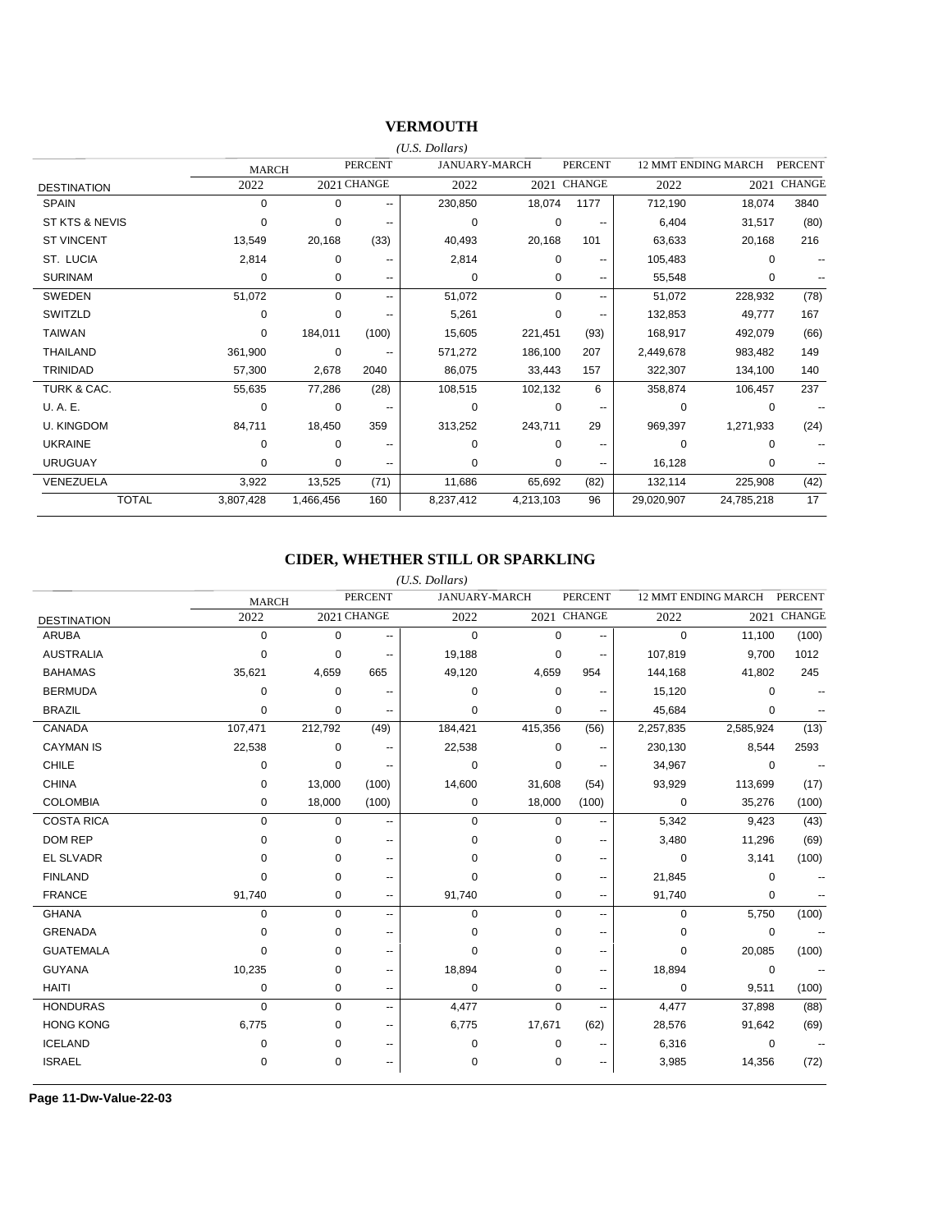### **VERMOUTH**

|                    |              |             |                          | (U.S. Dollars) |                      |                               |            |                            |                |
|--------------------|--------------|-------------|--------------------------|----------------|----------------------|-------------------------------|------------|----------------------------|----------------|
|                    | <b>MARCH</b> |             | <b>PERCENT</b>           |                | <b>JANUARY-MARCH</b> | <b>PERCENT</b>                |            | <b>12 MMT ENDING MARCH</b> | <b>PERCENT</b> |
| <b>DESTINATION</b> | 2022         |             | 2021 CHANGE              | 2022           |                      | 2021 CHANGE                   | 2022       | 2021                       | <b>CHANGE</b>  |
| <b>SPAIN</b>       | 0            | $\Omega$    | --                       | 230,850        | 18,074               | 1177                          | 712,190    | 18,074                     | 3840           |
| ST KTS & NEVIS     | 0            | 0           |                          | $\mathbf 0$    |                      | 0                             | 6,404      | 31,517                     | (80)           |
| <b>ST VINCENT</b>  | 13,549       | 20,168      | (33)                     | 40,493         | 20,168               | 101                           | 63,633     | 20,168                     | 216            |
| ST. LUCIA          | 2,814        | 0           | --                       | 2,814          |                      | $\Omega$                      | 105,483    | $\Omega$                   |                |
| <b>SURINAM</b>     | $\Omega$     | $\Omega$    | $\overline{\phantom{m}}$ | $\Omega$       |                      | 0<br>--                       | 55,548     | 0                          |                |
| SWEDEN             | 51,072       | $\Omega$    | $\overline{\phantom{a}}$ | 51,072         |                      | $\Omega$<br>--                | 51,072     | 228,932                    | (78)           |
| SWITZLD            | 0            | $\Omega$    | --                       | 5,261          |                      | 0<br>$\overline{\phantom{m}}$ | 132,853    | 49.777                     | 167            |
| <b>TAIWAN</b>      | $\Omega$     | 184,011     | (100)                    | 15,605         | 221,451              | (93)                          | 168,917    | 492,079                    | (66)           |
| THAILAND           | 361,900      | $\mathbf 0$ | --                       | 571,272        | 186,100              | 207                           | 2,449,678  | 983,482                    | 149            |
| TRINIDAD           | 57,300       | 2,678       | 2040                     | 86,075         | 33,443               | 157                           | 322,307    | 134,100                    | 140            |
| TURK & CAC.        | 55,635       | 77,286      | (28)                     | 108,515        | 102,132              | 6                             | 358,874    | 106,457                    | 237            |
| U.A.E.             | 0            | 0           |                          | $\Omega$       |                      | $\Omega$                      | $\Omega$   | $\Omega$                   |                |
| <b>U. KINGDOM</b>  | 84,711       | 18,450      | 359                      | 313,252        | 243,711              | 29                            | 969,397    | 1,271,933                  | (24)           |
| <b>UKRAINE</b>     | 0            | 0           | $\overline{\phantom{m}}$ | $\Omega$       |                      | $\Omega$<br>--                | $\Omega$   | $\Omega$                   |                |
| <b>URUGUAY</b>     | 0            | 0           | $\overline{\phantom{m}}$ | $\Omega$       |                      | 0<br>$\sim$ $\sim$            | 16,128     | $\Omega$                   |                |
| VENEZUELA          | 3,922        | 13,525      | (71)                     | 11,686         | 65,692               | (82)                          | 132,114    | 225,908                    | (42)           |
| <b>TOTAL</b>       | 3,807,428    | 1,466,456   | 160                      | 8,237,412      | 4,213,103            | 96                            | 29,020,907 | 24,785,218                 | 17             |

### **CIDER, WHETHER STILL OR SPARKLING**

|                    |              |          |                | $(U.S.$ Dollars)     |             |                          |                     |             |                |
|--------------------|--------------|----------|----------------|----------------------|-------------|--------------------------|---------------------|-------------|----------------|
|                    | <b>MARCH</b> |          | <b>PERCENT</b> | <b>JANUARY-MARCH</b> |             | <b>PERCENT</b>           | 12 MMT ENDING MARCH |             | <b>PERCENT</b> |
| <b>DESTINATION</b> | 2022         |          | 2021 CHANGE    | 2022                 |             | 2021 CHANGE              | 2022                | 2021        | <b>CHANGE</b>  |
| <b>ARUBA</b>       | $\mathbf 0$  | 0        | ۰.             | $\mathbf 0$          | $\mathbf 0$ | $\overline{\phantom{a}}$ | 0                   | 11,100      | (100)          |
| <b>AUSTRALIA</b>   | 0            | 0        |                | 19,188               | 0           | $\sim$                   | 107,819             | 9,700       | 1012           |
| <b>BAHAMAS</b>     | 35,621       | 4,659    | 665            | 49,120               | 4,659       | 954                      | 144,168             | 41,802      | 245            |
| <b>BERMUDA</b>     | $\mathbf 0$  | 0        | --             | 0                    | 0           | --                       | 15,120              | 0           |                |
| <b>BRAZIL</b>      | $\mathbf 0$  | 0        | --             | $\mathbf 0$          | $\mathbf 0$ | $\overline{\phantom{a}}$ | 45,684              | 0           |                |
| CANADA             | 107,471      | 212,792  | (49)           | 184,421              | 415,356     | (56)                     | 2,257,835           | 2,585,924   | (13)           |
| <b>CAYMAN IS</b>   | 22,538       | 0        | --             | 22,538               | 0           | $\sim$                   | 230,130             | 8,544       | 2593           |
| <b>CHILE</b>       | 0            | 0        | --             | 0                    | $\mathbf 0$ | $\sim$                   | 34,967              | $\mathbf 0$ |                |
| <b>CHINA</b>       | 0            | 13,000   | (100)          | 14,600               | 31,608      | (54)                     | 93,929              | 113,699     | (17)           |
| <b>COLOMBIA</b>    | 0            | 18,000   | (100)          | 0                    | 18,000      | (100)                    | $\mathbf 0$         | 35,276      | (100)          |
| <b>COSTA RICA</b>  | $\mathbf 0$  | 0        | --             | $\mathbf 0$          | 0           | --                       | 5,342               | 9,423       | (43)           |
| <b>DOM REP</b>     | 0            | 0        | $-$            | 0                    | 0           | $\sim$                   | 3,480               | 11,296      | (69)           |
| <b>EL SLVADR</b>   | $\Omega$     | 0        | $-$            | $\Omega$             | $\Omega$    | $\overline{\phantom{a}}$ | $\mathbf 0$         | 3,141       | (100)          |
| <b>FINLAND</b>     | $\Omega$     | $\Omega$ | $-$            | $\Omega$             | $\Omega$    | $\sim$                   | 21,845              | 0           |                |
| <b>FRANCE</b>      | 91,740       | 0        | --             | 91,740               | 0           | $\sim$                   | 91,740              | 0           |                |
| <b>GHANA</b>       | 0            | $\Omega$ | $\overline{a}$ | $\mathbf 0$          | $\mathbf 0$ | $\overline{\phantom{a}}$ | 0                   | 5,750       | (100)          |
| <b>GRENADA</b>     | 0            | $\Omega$ | $\overline{a}$ | $\Omega$             | $\Omega$    | --                       | 0                   | 0           |                |
| <b>GUATEMALA</b>   | $\Omega$     | $\Omega$ | $\overline{a}$ | $\Omega$             | $\Omega$    | $\sim$                   | 0                   | 20,085      | (100)          |
| <b>GUYANA</b>      | 10,235       | 0        | $\overline{a}$ | 18,894               | 0           | $\sim$                   | 18,894              | $\mathbf 0$ |                |
| <b>HAITI</b>       | 0            | 0        | --             | $\mathbf 0$          | $\mathbf 0$ | $\overline{\phantom{a}}$ | 0                   | 9,511       | (100)          |
| <b>HONDURAS</b>    | 0            | $\Omega$ | $\overline{a}$ | 4,477                | $\mathbf 0$ | $\overline{a}$           | 4,477               | 37,898      | (88)           |
| <b>HONG KONG</b>   | 6,775        | $\Omega$ | ۰.             | 6,775                | 17,671      | (62)                     | 28,576              | 91,642      | (69)           |
| <b>ICELAND</b>     | 0            | 0        | ۰.             | 0                    | 0           | $\sim$                   | 6,316               | 0           |                |
| <b>ISRAEL</b>      | 0            | 0        | ۰.             | 0                    | 0           | $\overline{\phantom{a}}$ | 3,985               | 14,356      | (72)           |

**Page 11-Dw-Value-22-03**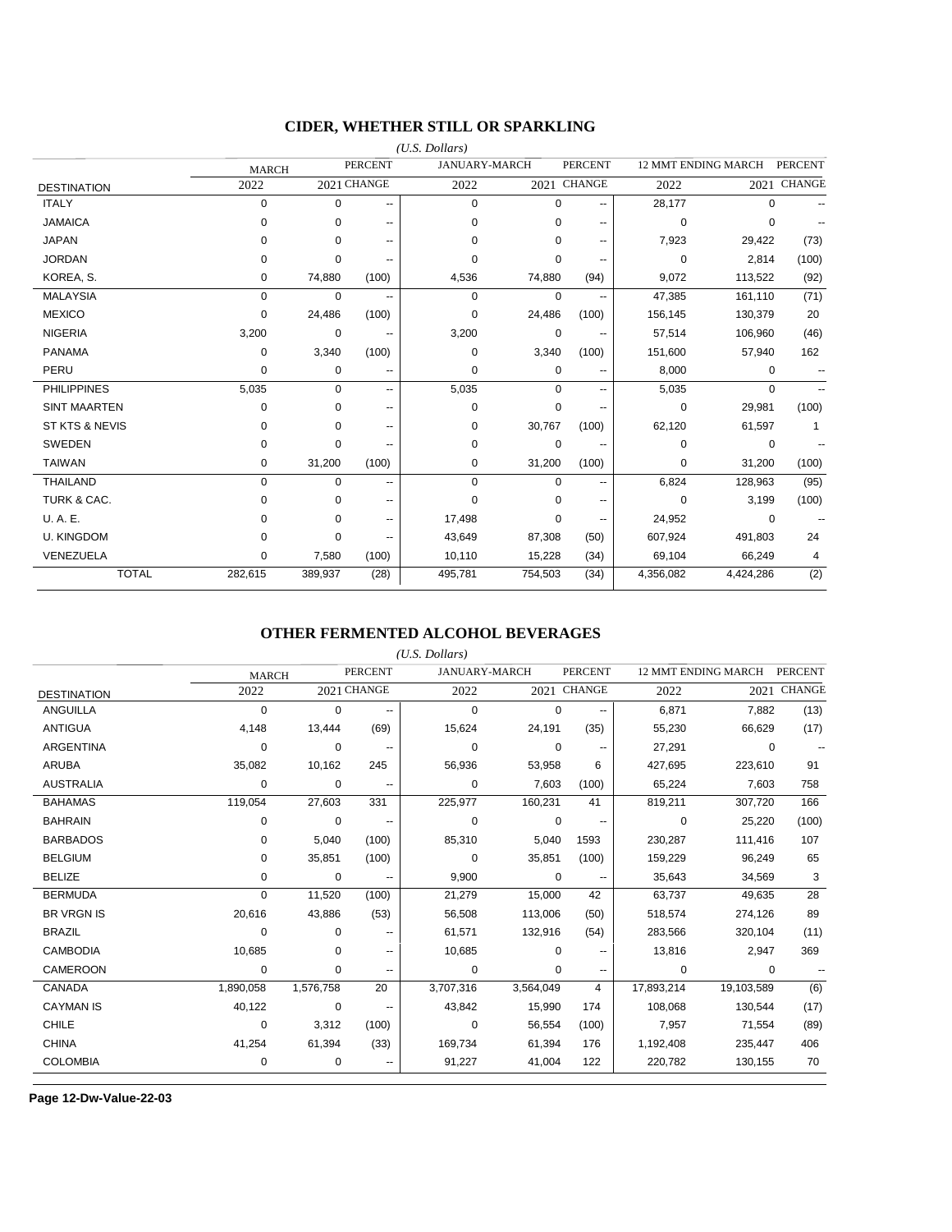### **CIDER, WHETHER STILL OR SPARKLING**

|                     |              |             |                | $(U.S.$ Dollars)     |             |                          |             |                     |                |
|---------------------|--------------|-------------|----------------|----------------------|-------------|--------------------------|-------------|---------------------|----------------|
|                     | <b>MARCH</b> |             | <b>PERCENT</b> | <b>JANUARY-MARCH</b> |             | <b>PERCENT</b>           |             | 12 MMT ENDING MARCH | <b>PERCENT</b> |
| <b>DESTINATION</b>  | 2022         |             | 2021 CHANGE    | 2022                 |             | 2021 CHANGE              | 2022        | 2021                | <b>CHANGE</b>  |
| <b>ITALY</b>        | $\mathbf 0$  | $\mathbf 0$ | $\overline{a}$ | $\mathbf 0$          | $\mathbf 0$ | $-$                      | 28,177      | $\mathbf 0$         |                |
| <b>JAMAICA</b>      | 0            | 0           | --             | $\Omega$             | 0           | ۰.                       | $\mathbf 0$ | 0                   |                |
| <b>JAPAN</b>        | 0            | $\Omega$    | ۰.             | $\Omega$             | 0           | $\overline{\phantom{a}}$ | 7,923       | 29,422              | (73)           |
| <b>JORDAN</b>       | 0            | 0           | --             | $\Omega$             | 0           | --                       | 0           | 2,814               | (100)          |
| KOREA, S.           | 0            | 74,880      | (100)          | 4,536                | 74,880      | (94)                     | 9,072       | 113,522             | (92)           |
| <b>MALAYSIA</b>     | 0            | 0           | ۰.             | 0                    | 0           | $\overline{\phantom{a}}$ | 47.385      | 161,110             | (71)           |
| <b>MEXICO</b>       | 0            | 24,486      | (100)          | 0                    | 24,486      | (100)                    | 156,145     | 130,379             | 20             |
| <b>NIGERIA</b>      | 3,200        | 0           | --             | 3,200                | 0           |                          | 57,514      | 106,960             | (46)           |
| <b>PANAMA</b>       | 0            | 3,340       | (100)          | 0                    | 3,340       | (100)                    | 151,600     | 57,940              | 162            |
| PERU                | 0            | 0           | --             | 0                    | 0           |                          | 8,000       | 0                   |                |
| <b>PHILIPPINES</b>  | 5,035        | 0           | --             | 5,035                | $\mathbf 0$ | $\overline{\phantom{a}}$ | 5,035       | 0                   |                |
| <b>SINT MAARTEN</b> | 0            | $\Omega$    | ۰.             | $\Omega$             | $\Omega$    | --                       | 0           | 29,981              | (100)          |
| ST KTS & NEVIS      | 0            | 0           | ۰.             | 0                    | 30,767      | (100)                    | 62,120      | 61,597              | -1             |
| <b>SWEDEN</b>       | 0            | $\mathbf 0$ | $\overline{a}$ | 0                    | 0           |                          | 0           | $\mathbf 0$         |                |
| <b>TAIWAN</b>       | 0            | 31,200      | (100)          | 0                    | 31,200      | (100)                    | 0           | 31,200              | (100)          |
| <b>THAILAND</b>     | 0            | $\mathbf 0$ | $\overline{a}$ | $\mathbf 0$          | 0           | --                       | 6,824       | 128,963             | (95)           |
| TURK & CAC.         | 0            | 0           | --             | $\Omega$             | $\Omega$    | $\overline{a}$           | 0           | 3,199               | (100)          |
| U.A.E.              | 0            | $\Omega$    | --             | 17,498               | $\Omega$    | $\overline{\phantom{a}}$ | 24,952      | $\Omega$            |                |
| <b>U. KINGDOM</b>   | 0            | 0           | --             | 43,649               | 87,308      | (50)                     | 607,924     | 491,803             | 24             |
| VENEZUELA           | 0            | 7,580       | (100)          | 10,110               | 15,228      | (34)                     | 69,104      | 66,249              | 4              |
| <b>TOTAL</b>        | 282,615      | 389,937     | (28)           | 495,781              | 754,503     | (34)                     | 4,356,082   | 4,424,286           | (2)            |

#### **OTHER FERMENTED ALCOHOL BEVERAGES**

|                    |              |           |                          | $(U.S.$ Dollars) |                      |                |            |                     |                |
|--------------------|--------------|-----------|--------------------------|------------------|----------------------|----------------|------------|---------------------|----------------|
|                    | <b>MARCH</b> |           | <b>PERCENT</b>           |                  | <b>JANUARY-MARCH</b> | <b>PERCENT</b> |            | 12 MMT ENDING MARCH | <b>PERCENT</b> |
| <b>DESTINATION</b> | 2022         |           | 2021 CHANGE              | 2022             |                      | 2021 CHANGE    | 2022       |                     | 2021 CHANGE    |
| <b>ANGUILLA</b>    | 0            | 0         | $\overline{\phantom{a}}$ | 0                | 0                    | ۰.             | 6,871      | 7,882               | (13)           |
| <b>ANTIGUA</b>     | 4,148        | 13,444    | (69)                     | 15,624           | 24,191               | (35)           | 55,230     | 66,629              | (17)           |
| <b>ARGENTINA</b>   | 0            | 0         |                          | $\Omega$         | 0                    |                | 27,291     | 0                   |                |
| <b>ARUBA</b>       | 35,082       | 10,162    | 245                      | 56,936           | 53,958               | 6              | 427,695    | 223,610             | 91             |
| <b>AUSTRALIA</b>   | 0            | 0         | $\overline{\phantom{a}}$ | 0                | 7,603                | (100)          | 65,224     | 7,603               | 758            |
| <b>BAHAMAS</b>     | 119,054      | 27,603    | 331                      | 225,977          | 160,231              | 41             | 819,211    | 307,720             | 166            |
| <b>BAHRAIN</b>     | 0            | 0         | $\qquad \qquad \cdots$   | 0                | $\mathbf 0$          |                | 0          | 25,220              | (100)          |
| <b>BARBADOS</b>    | 0            | 5,040     | (100)                    | 85,310           | 5,040                | 1593           | 230,287    | 111,416             | 107            |
| <b>BELGIUM</b>     | 0            | 35,851    | (100)                    | 0                | 35,851               | (100)          | 159,229    | 96,249              | 65             |
| <b>BELIZE</b>      | 0            | 0         |                          | 9,900            | 0                    |                | 35,643     | 34,569              | 3              |
| <b>BERMUDA</b>     | 0            | 11,520    | (100)                    | 21,279           | 15,000               | 42             | 63,737     | 49,635              | 28             |
| <b>BR VRGN IS</b>  | 20,616       | 43,886    | (53)                     | 56,508           | 113,006              | (50)           | 518,574    | 274,126             | 89             |
| <b>BRAZIL</b>      | $\Omega$     | 0         |                          | 61,571           | 132,916              | (54)           | 283,566    | 320,104             | (11)           |
| <b>CAMBODIA</b>    | 10,685       | 0         | $\qquad \qquad \cdots$   | 10,685           | $\Omega$             | --             | 13,816     | 2,947               | 369            |
| CAMEROON           | 0            | 0         | --                       | 0                | 0                    | $-$            | 0          | 0                   |                |
| CANADA             | 1,890,058    | 1,576,758 | 20                       | 3,707,316        | 3,564,049            | 4              | 17,893,214 | 19,103,589          | (6)            |
| <b>CAYMAN IS</b>   | 40,122       | 0         | ۰.                       | 43,842           | 15,990               | 174            | 108,068    | 130.544             | (17)           |
| <b>CHILE</b>       | 0            | 3,312     | (100)                    | 0                | 56,554               | (100)          | 7,957      | 71,554              | (89)           |
| <b>CHINA</b>       | 41,254       | 61,394    | (33)                     | 169,734          | 61,394               | 176            | 1,192,408  | 235,447             | 406            |
| <b>COLOMBIA</b>    | 0            | 0         |                          | 91,227           | 41,004               | 122            | 220,782    | 130,155             | 70             |

**Page 12-Dw-Value-22-03**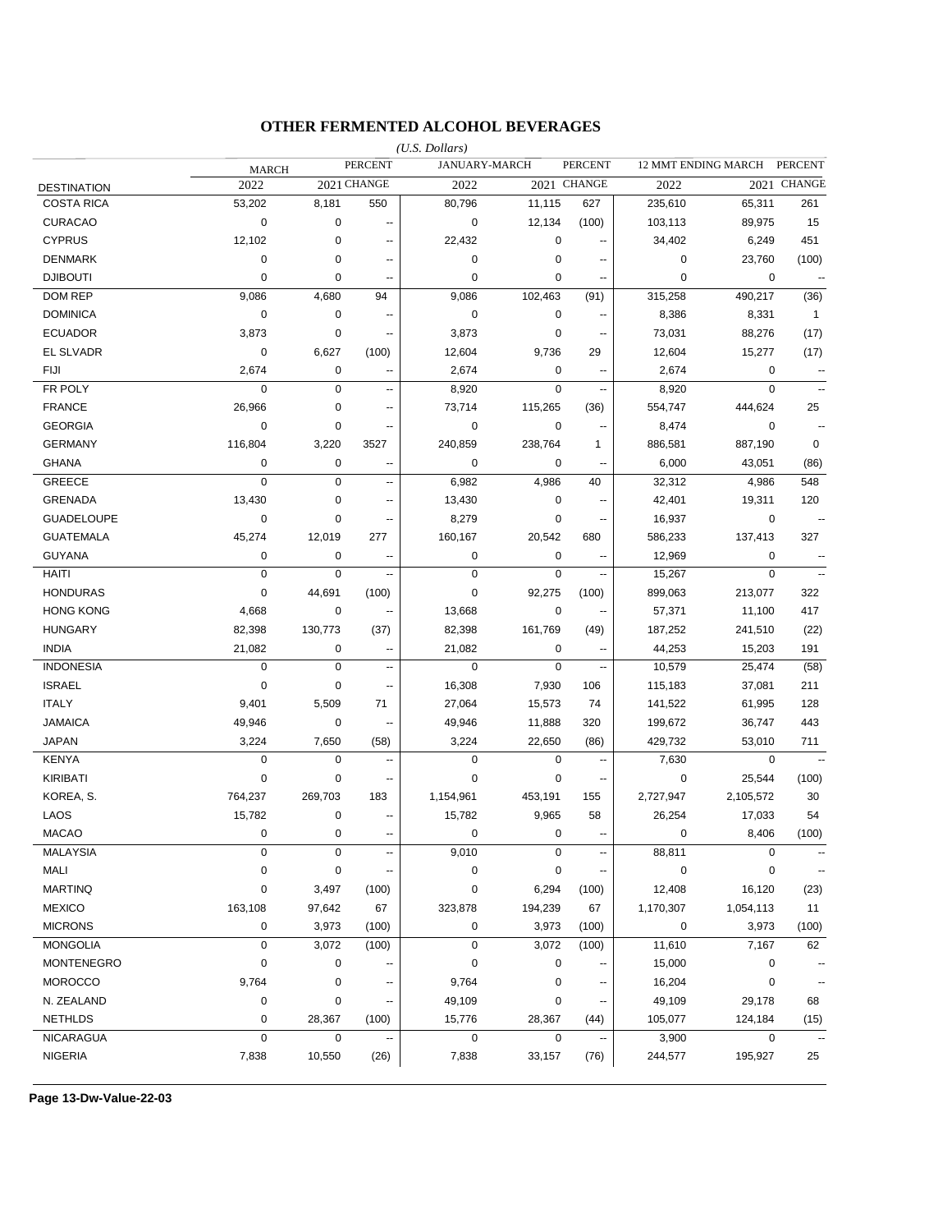### **OTHER FERMENTED ALCOHOL BEVERAGES**

|                    |              |             |                          | $(U.S.$ Dollars) |               |                          |             |                     |                          |
|--------------------|--------------|-------------|--------------------------|------------------|---------------|--------------------------|-------------|---------------------|--------------------------|
|                    | <b>MARCH</b> |             | <b>PERCENT</b>           |                  | JANUARY-MARCH | <b>PERCENT</b>           |             | 12 MMT ENDING MARCH | <b>PERCENT</b>           |
| <b>DESTINATION</b> | 2022         |             | 2021 CHANGE              | 2022             |               | 2021 CHANGE              | 2022        |                     | 2021 CHANGE              |
| <b>COSTA RICA</b>  | 53,202       | 8,181       | 550                      | 80,796           | 11,115        | 627                      | 235,610     | 65,311              | 261                      |
| <b>CURACAO</b>     | $\mathbf 0$  | 0           | $\overline{a}$           | 0                | 12,134        | (100)                    | 103,113     | 89,975              | 15                       |
| <b>CYPRUS</b>      | 12,102       | 0           | $\overline{\phantom{a}}$ | 22,432           | 0             |                          | 34,402      | 6,249               | 451                      |
| <b>DENMARK</b>     | 0            | 0           | $\overline{\phantom{a}}$ | $\mathbf 0$      | 0             | $\overline{a}$           | 0           | 23,760              | (100)                    |
| <b>DJIBOUTI</b>    | 0            | 0           | $\overline{\phantom{a}}$ | 0                | 0             | $\overline{a}$           | 0           | 0                   | $\overline{\phantom{a}}$ |
| <b>DOM REP</b>     | 9,086        | 4,680       | 94                       | 9,086            | 102,463       | (91)                     | 315,258     | 490,217             | (36)                     |
| <b>DOMINICA</b>    | 0            | 0           | --                       | $\mathbf 0$      | $\pmb{0}$     | $\overline{\phantom{a}}$ | 8,386       | 8,331               | $\overline{1}$           |
| <b>ECUADOR</b>     | 3,873        | 0           | $\overline{\phantom{a}}$ | 3,873            | 0             | $\sim$                   | 73,031      | 88,276              | (17)                     |
| EL SLVADR          | 0            | 6,627       | (100)                    | 12,604           | 9,736         | 29                       | 12,604      | 15,277              | (17)                     |
| FIJI               | 2,674        | 0           | --                       | 2,674            | 0             | н.                       | 2,674       | 0                   | ۰.                       |
| FR POLY            | 0            | 0           | $\overline{\phantom{a}}$ | 8,920            | $\pmb{0}$     | $\sim$                   | 8,920       | $\mathbf 0$         |                          |
| <b>FRANCE</b>      | 26,966       | 0           | $\overline{\phantom{a}}$ | 73,714           | 115,265       | (36)                     | 554,747     | 444,624             | 25                       |
| <b>GEORGIA</b>     | 0            | 0           | $\overline{\phantom{a}}$ | 0                | 0             | $\overline{a}$           | 8,474       | 0                   |                          |
| <b>GERMANY</b>     | 116,804      | 3,220       | 3527                     | 240,859          | 238,764       | 1                        | 886,581     | 887,190             | $\mathbf 0$              |
| <b>GHANA</b>       | 0            | 0           | $\overline{\phantom{a}}$ | $\mathbf 0$      | 0             |                          | 6,000       | 43,051              | (86)                     |
| GREECE             | $\pmb{0}$    | $\pmb{0}$   | Ξ.                       | 6,982            | 4,986         | 40                       | 32,312      | 4,986               | 548                      |
| <b>GRENADA</b>     | 13,430       | $\pmb{0}$   | $\overline{\phantom{a}}$ | 13,430           | $\pmb{0}$     |                          | 42,401      | 19,311              | 120                      |
| <b>GUADELOUPE</b>  | $\mathbf 0$  | 0           | --                       | 8,279            | 0             | $\overline{\phantom{a}}$ | 16,937      | $\mathbf 0$         |                          |
| <b>GUATEMALA</b>   | 45,274       | 12,019      | 277                      | 160,167          | 20,542        | 680                      | 586,233     | 137,413             | 327                      |
| <b>GUYANA</b>      | 0            | 0           | $\overline{\phantom{a}}$ | $\pmb{0}$        | $\pmb{0}$     | н.                       | 12,969      | 0                   |                          |
| <b>HAITI</b>       | $\pmb{0}$    | $\mathbf 0$ | --                       | $\mathbf 0$      | $\mathbf 0$   | $\overline{\phantom{a}}$ | 15,267      | $\mathbf 0$         |                          |
| <b>HONDURAS</b>    | 0            | 44,691      | (100)                    | $\mathbf 0$      | 92,275        | (100)                    | 899,063     | 213,077             | 322                      |
| <b>HONG KONG</b>   | 4,668        | 0           | $\overline{\phantom{a}}$ | 13,668           | $\mathbf 0$   | $\overline{\phantom{a}}$ | 57,371      | 11,100              | 417                      |
| <b>HUNGARY</b>     | 82,398       | 130,773     | (37)                     | 82,398           | 161,769       | (49)                     | 187,252     | 241,510             | (22)                     |
| <b>INDIA</b>       | 21,082       | 0           | $\overline{a}$           | 21,082           | 0             | $\overline{a}$           | 44,253      | 15,203              | 191                      |
| <b>INDONESIA</b>   | 0            | $\pmb{0}$   | $\overline{a}$           | $\mathbf 0$      | $\mathbf 0$   | $\sim$                   | 10,579      | 25,474              | (58)                     |
| <b>ISRAEL</b>      | 0            | 0           | $\overline{\phantom{a}}$ | 16,308           | 7,930         | 106                      | 115,183     | 37,081              | 211                      |
| <b>ITALY</b>       | 9,401        | 5,509       | 71                       | 27,064           | 15,573        | 74                       | 141,522     | 61,995              | 128                      |
| <b>JAMAICA</b>     | 49,946       | 0           | --                       | 49,946           | 11,888        | 320                      | 199,672     | 36,747              | 443                      |
| <b>JAPAN</b>       | 3,224        | 7,650       | (58)                     | 3,224            | 22,650        | (86)                     | 429,732     | 53,010              | 711                      |
| <b>KENYA</b>       | 0            | 0           | --                       | $\mathbf 0$      | $\pmb{0}$     | $\sim$                   | 7,630       | $\mathbf 0$         |                          |
| <b>KIRIBATI</b>    | 0            | 0           | $\overline{\phantom{a}}$ | $\mathbf 0$      | 0             | $\sim$                   | $\mathbf 0$ | 25,544              | (100)                    |
| KOREA, S.          | 764,237      | 269,703     | 183                      | 1,154,961        | 453,191       | 155                      | 2,727,947   | 2,105,572           | 30                       |
| LAOS               | 15,782       | 0           | $\overline{\phantom{a}}$ | 15,782           | 9,965         | 58                       | 26,254      | 17,033              | 54                       |
| <b>MACAO</b>       | 0            | 0           | $\overline{\phantom{a}}$ | $\mathbf 0$      | $\mathbf 0$   | $\sim$                   | $\mathbf 0$ | 8,406               | (100)                    |
| <b>MALAYSIA</b>    | 0            | 0           |                          | 9,010            | 0             |                          | 88,811      | $\pmb{0}$           |                          |
| MALI               | 0            | 0           |                          | 0                | 0             |                          | 0           | $\pmb{0}$           | $\ddotsc$                |
| <b>MARTINQ</b>     | 0            | 3,497       | (100)                    | $\pmb{0}$        | 6,294         | (100)                    | 12,408      | 16,120              | (23)                     |
| <b>MEXICO</b>      | 163,108      | 97,642      | 67                       | 323,878          | 194,239       | 67                       | 1,170,307   | 1,054,113           | 11                       |
| <b>MICRONS</b>     | 0            | 3,973       | (100)                    | 0                | 3,973         | (100)                    | 0           | 3,973               | (100)                    |
| <b>MONGOLIA</b>    | 0            | 3,072       | (100)                    | $\mathbf 0$      | 3,072         | (100)                    | 11,610      | 7,167               | 62                       |
| <b>MONTENEGRO</b>  | 0            | 0           |                          | $\pmb{0}$        | $\pmb{0}$     |                          | 15,000      | $\pmb{0}$           |                          |
|                    |              |             |                          |                  |               |                          |             |                     | ۰.                       |
| <b>MOROCCO</b>     | 9,764        | 0           |                          | 9,764            | 0             |                          | 16,204      | 0                   |                          |
| N. ZEALAND         | 0            | 0           | ۰.                       | 49,109           | 0             | $\overline{\phantom{a}}$ | 49,109      | 29,178              | 68                       |
| <b>NETHLDS</b>     | 0            | 28,367      | (100)                    | 15,776           | 28,367        | (44)                     | 105,077     | 124,184             | (15)                     |
| <b>NICARAGUA</b>   | $\pmb{0}$    | 0           |                          | 0                | 0             |                          | 3,900       | $\mathbf 0$         |                          |
| <b>NIGERIA</b>     | 7,838        | 10,550      | (26)                     | 7,838            | 33,157        | (76)                     | 244,577     | 195,927             | 25                       |

**Page 13-Dw-Value-22-03**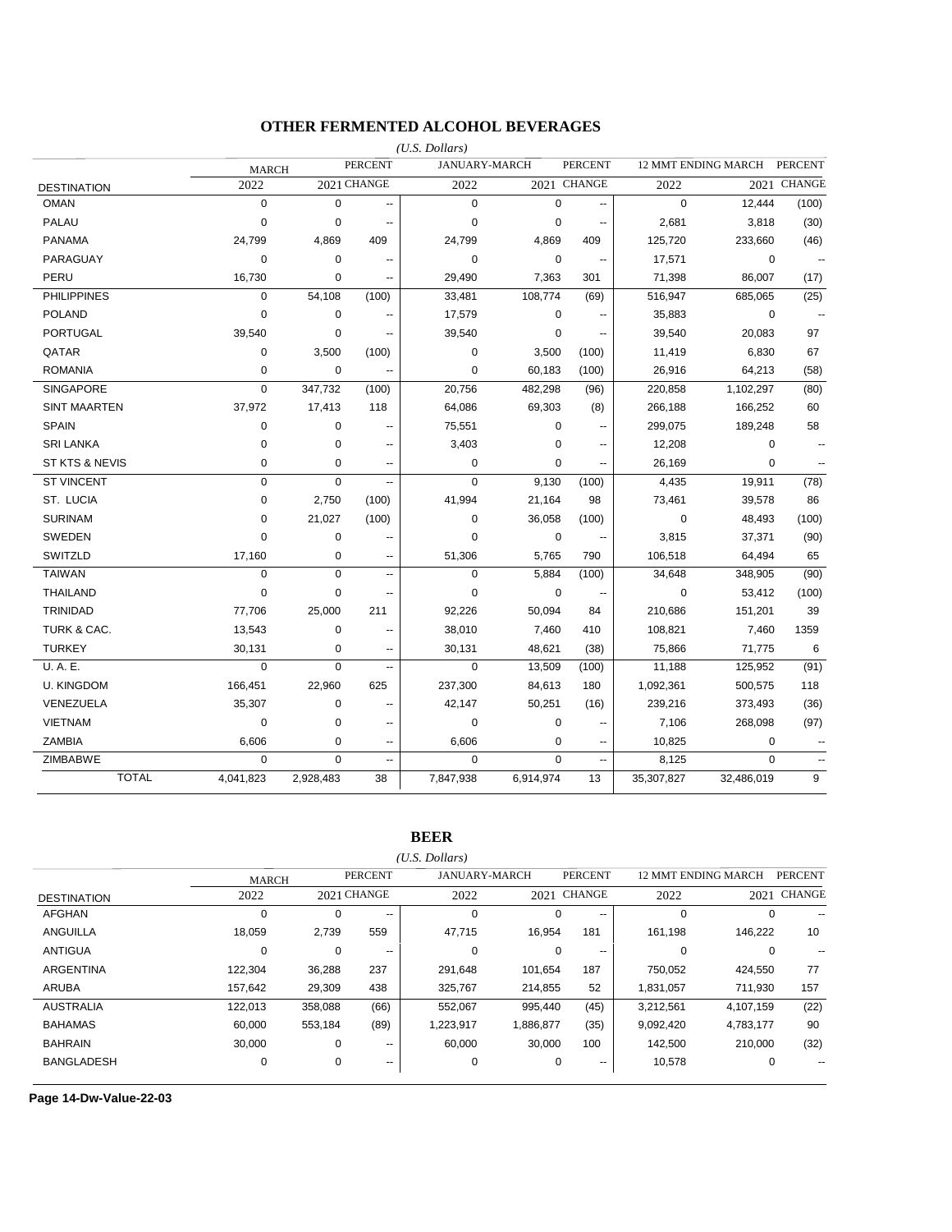### **OTHER FERMENTED ALCOHOL BEVERAGES**

|                    |              |             |                          | $(U.S.$ Dollars) |                      |                          |             |                     |                |
|--------------------|--------------|-------------|--------------------------|------------------|----------------------|--------------------------|-------------|---------------------|----------------|
|                    | <b>MARCH</b> |             | <b>PERCENT</b>           |                  | <b>JANUARY-MARCH</b> | <b>PERCENT</b>           |             | 12 MMT ENDING MARCH | <b>PERCENT</b> |
| <b>DESTINATION</b> | 2022         |             | 2021 CHANGE              | 2022             |                      | 2021 CHANGE              | 2022        | 2021                | <b>CHANGE</b>  |
| <b>OMAN</b>        | $\mathbf 0$  | $\mathbf 0$ | Ξ.                       | $\mathbf 0$      | $\mathbf 0$          | $\overline{\phantom{a}}$ | $\mathbf 0$ | 12,444              | (100)          |
| PALAU              | $\mathbf 0$  | $\mathbf 0$ | $\overline{a}$           | $\mathbf 0$      | $\pmb{0}$            | $\sim$                   | 2,681       | 3,818               | (30)           |
| <b>PANAMA</b>      | 24,799       | 4,869       | 409                      | 24,799           | 4,869                | 409                      | 125,720     | 233,660             | (46)           |
| PARAGUAY           | $\mathbf 0$  | $\mathbf 0$ | $\overline{a}$           | $\mathbf 0$      | $\mathbf 0$          | $\sim$                   | 17,571      | $\mathbf 0$         |                |
| PERU               | 16,730       | $\mathbf 0$ |                          | 29,490           | 7,363                | 301                      | 71,398      | 86,007              | (17)           |
| <b>PHILIPPINES</b> | 0            | 54,108      | (100)                    | 33,481           | 108,774              | (69)                     | 516,947     | 685,065             | (25)           |
| <b>POLAND</b>      | $\mathbf 0$  | $\mathbf 0$ |                          | 17,579           | $\mathbf 0$          |                          | 35,883      | $\mathbf 0$         |                |
| <b>PORTUGAL</b>    | 39,540       | 0           | --                       | 39,540           | 0                    | $\ddot{\phantom{1}}$     | 39,540      | 20,083              | 97             |
| QATAR              | 0            | 3,500       | (100)                    | $\mathbf 0$      | 3,500                | (100)                    | 11,419      | 6,830               | 67             |
| <b>ROMANIA</b>     | 0            | $\mathbf 0$ | --                       | $\mathbf 0$      | 60,183               | (100)                    | 26,916      | 64,213              | (58)           |
| <b>SINGAPORE</b>   | $\mathbf 0$  | 347,732     | (100)                    | 20,756           | 482,298              | (96)                     | 220,858     | 1,102,297           | (80)           |
| SINT MAARTEN       | 37,972       | 17,413      | 118                      | 64,086           | 69,303               | (8)                      | 266,188     | 166,252             | 60             |
| <b>SPAIN</b>       | $\mathbf 0$  | 0           | $\overline{\phantom{a}}$ | 75,551           | 0                    | $\sim$                   | 299,075     | 189,248             | 58             |
| <b>SRI LANKA</b>   | $\mathbf 0$  | $\mathbf 0$ | $\overline{a}$           | 3,403            | $\mathbf 0$          | $\sim$                   | 12,208      | $\mathbf 0$         |                |
| ST KTS & NEVIS     | 0            | 0           | --                       | 0                | $\mathbf 0$          | $\overline{\phantom{a}}$ | 26,169      | 0                   |                |
| <b>ST VINCENT</b>  | 0            | $\Omega$    |                          | $\Omega$         | 9,130                | (100)                    | 4,435       | 19,911              | (78)           |
| ST. LUCIA          | $\mathbf 0$  | 2,750       | (100)                    | 41,994           | 21,164               | 98                       | 73,461      | 39,578              | 86             |
| <b>SURINAM</b>     | 0            | 21,027      | (100)                    | $\mathbf 0$      | 36,058               | (100)                    | $\mathbf 0$ | 48,493              | (100)          |
| SWEDEN             | $\Omega$     | 0           |                          | $\Omega$         | $\mathbf 0$          | $\overline{\phantom{a}}$ | 3,815       | 37,371              | (90)           |
| SWITZLD            | 17,160       | 0           | ۰.                       | 51,306           | 5,765                | 790                      | 106,518     | 64,494              | 65             |
| <b>TAIWAN</b>      | $\mathbf 0$  | $\Omega$    | $\overline{\phantom{a}}$ | $\mathbf 0$      | 5,884                | (100)                    | 34,648      | 348,905             | (90)           |
| <b>THAILAND</b>    | $\mathbf 0$  | $\mathbf 0$ | $\overline{a}$           | $\mathbf 0$      | $\mathbf 0$          |                          | $\mathbf 0$ | 53,412              | (100)          |
| TRINIDAD           | 77,706       | 25,000      | 211                      | 92,226           | 50,094               | 84                       | 210,686     | 151,201             | 39             |
| TURK & CAC.        | 13,543       | $\pmb{0}$   | $\sim$                   | 38,010           | 7,460                | 410                      | 108,821     | 7,460               | 1359           |
| <b>TURKEY</b>      | 30,131       | 0           | --                       | 30,131           | 48,621               | (38)                     | 75,866      | 71,775              | 6              |
| U.A.E.             | $\mathbf 0$  | $\Omega$    | --                       | $\mathbf 0$      | 13,509               | (100)                    | 11,188      | 125,952             | (91)           |
| <b>U. KINGDOM</b>  | 166,451      | 22,960      | 625                      | 237,300          | 84,613               | 180                      | 1,092,361   | 500,575             | 118            |
| VENEZUELA          | 35,307       | 0           | $\overline{a}$           | 42,147           | 50,251               | (16)                     | 239,216     | 373,493             | (36)           |
| <b>VIETNAM</b>     | $\mathbf 0$  | $\mathbf 0$ | $\overline{a}$           | 0                | $\pmb{0}$            | $\overline{a}$           | 7,106       | 268,098             | (97)           |
| <b>ZAMBIA</b>      | 6,606        | 0           | --                       | 6,606            | 0                    | $\overline{\phantom{a}}$ | 10,825      | 0                   |                |
| <b>ZIMBABWE</b>    | 0            | $\Omega$    | Ξ.                       | $\Omega$         | $\Omega$             | $\ddotsc$                | 8,125       | $\Omega$            |                |
| <b>TOTAL</b>       | 4,041,823    | 2,928,483   | 38                       | 7,847,938        | 6,914,974            | 13                       | 35,307,827  | 32,486,019          | 9              |

**BEER**

*(U.S. Dollars)*

|                    | <b>MARCH</b> |          | <b>PERCENT</b>           |             | <b>JANUARY-MARCH</b> | <b>PERCENT</b> |           | <b>12 MMT ENDING MARCH</b> | <b>PERCENT</b> |
|--------------------|--------------|----------|--------------------------|-------------|----------------------|----------------|-----------|----------------------------|----------------|
| <b>DESTINATION</b> | 2022         |          | 2021 CHANGE              | 2022        |                      | 2021 CHANGE    | 2022      | 2021                       | <b>CHANGE</b>  |
| <b>AFGHAN</b>      |              | 0        | $\sim$ $\sim$            | $\mathbf 0$ | 0                    | $\sim$ $\sim$  |           | $\Omega$                   |                |
| ANGUILLA           | 18.059       | 2.739    | 559                      | 47,715      | 16.954               | 181            | 161.198   | 146.222                    | 10             |
| <b>ANTIGUA</b>     |              | $\Omega$ | $-$                      | 0           | $\Omega$             | $- -$          |           | 0                          |                |
| <b>ARGENTINA</b>   | 122.304      | 36,288   | 237                      | 291,648     | 101.654              | 187            | 750.052   | 424,550                    | 77             |
| <b>ARUBA</b>       | 157.642      | 29,309   | 438                      | 325,767     | 214,855              | 52             | 1,831,057 | 711.930                    | 157            |
| <b>AUSTRALIA</b>   | 122,013      | 358,088  | (66)                     | 552,067     | 995,440              | (45)           | 3,212,561 | 4,107,159                  | (22)           |
| <b>BAHAMAS</b>     | 60,000       | 553,184  | (89)                     | 1,223,917   | 1,886,877            | (35)           | 9,092,420 | 4,783,177                  | 90             |
| <b>BAHRAIN</b>     | 30.000       | 0        | $\overline{\phantom{a}}$ | 60.000      | 30.000               | 100            | 142.500   | 210.000                    | (32)           |
| <b>BANGLADESH</b>  | $\Omega$     | 0        | $\overline{\phantom{a}}$ | 0           | 0                    | $- -$          | 10,578    | 0                          |                |
|                    |              |          |                          |             |                      |                |           |                            |                |

**Page 14-Dw-Value-22-03**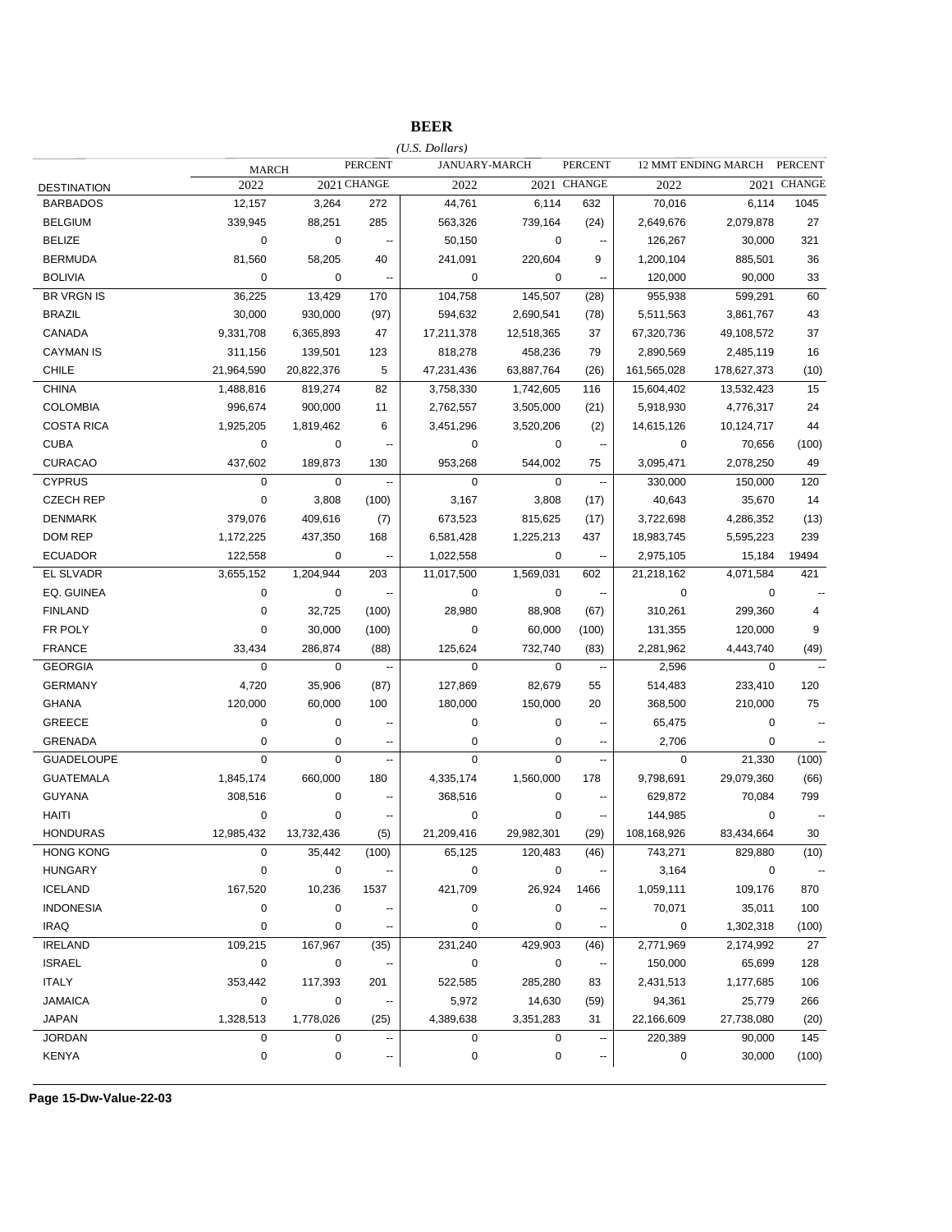|                    |             |             |                          | $(U.S.$ Dollars) |             |                          |             |                     |                          |
|--------------------|-------------|-------------|--------------------------|------------------|-------------|--------------------------|-------------|---------------------|--------------------------|
|                    | MARCH       |             | <b>PERCENT</b>           | JANUARY-MARCH    |             | <b>PERCENT</b>           |             | 12 MMT ENDING MARCH | <b>PERCENT</b>           |
| <b>DESTINATION</b> | 2022        |             | 2021 CHANGE              | 2022             |             | 2021 CHANGE              | 2022        |                     | 2021 CHANGE              |
| <b>BARBADOS</b>    | 12,157      | 3,264       | 272                      | 44,761           | 6,114       | 632                      | 70,016      | 6,114               | 1045                     |
| <b>BELGIUM</b>     | 339,945     | 88,251      | 285                      | 563,326          | 739,164     | (24)                     | 2,649,676   | 2,079,878           | 27                       |
| <b>BELIZE</b>      | 0           | 0           | --                       | 50,150           | 0           | $\sim$                   | 126,267     | 30,000              | 321                      |
| <b>BERMUDA</b>     | 81,560      | 58,205      | 40                       | 241,091          | 220,604     | 9                        | 1,200,104   | 885,501             | 36                       |
| <b>BOLIVIA</b>     | 0           | 0           | --                       | 0                | 0           | $\ddot{\phantom{1}}$     | 120,000     | 90,000              | 33                       |
| <b>BR VRGN IS</b>  | 36,225      | 13,429      | 170                      | 104,758          | 145,507     | (28)                     | 955,938     | 599,291             | 60                       |
| <b>BRAZIL</b>      | 30,000      | 930,000     | (97)                     | 594,632          | 2,690,541   | (78)                     | 5,511,563   | 3,861,767           | 43                       |
| CANADA             | 9,331,708   | 6,365,893   | 47                       | 17,211,378       | 12,518,365  | 37                       | 67,320,736  | 49,108,572          | 37                       |
| <b>CAYMAN IS</b>   | 311,156     | 139,501     | 123                      | 818,278          | 458,236     | 79                       | 2,890,569   | 2,485,119           | 16                       |
| CHILE              | 21,964,590  | 20,822,376  | 5                        | 47,231,436       | 63,887,764  | (26)                     | 161,565,028 | 178,627,373         | (10)                     |
| <b>CHINA</b>       | 1,488,816   | 819,274     | 82                       | 3,758,330        | 1,742,605   | 116                      | 15,604,402  | 13,532,423          | 15                       |
| <b>COLOMBIA</b>    | 996,674     | 900,000     | 11                       | 2,762,557        | 3,505,000   | (21)                     | 5,918,930   | 4,776,317           | 24                       |
| <b>COSTA RICA</b>  | 1,925,205   | 1,819,462   | 6                        | 3,451,296        | 3,520,206   | (2)                      | 14,615,126  | 10,124,717          | 44                       |
| <b>CUBA</b>        | 0           | 0           | ٠.                       | 0                | 0           | $\overline{\phantom{a}}$ | 0           | 70,656              | (100)                    |
| <b>CURACAO</b>     | 437,602     | 189,873     | 130                      | 953,268          | 544,002     | 75                       | 3,095,471   | 2,078,250           | 49                       |
| <b>CYPRUS</b>      | $\mathbf 0$ | $\mathbf 0$ | --                       | $\mathbf 0$      | $\mathbf 0$ | $\overline{\phantom{a}}$ | 330,000     | 150,000             | 120                      |
| <b>CZECH REP</b>   | $\pmb{0}$   | 3,808       | (100)                    | 3,167            | 3,808       | (17)                     | 40,643      | 35,670              | 14                       |
| <b>DENMARK</b>     | 379,076     | 409,616     | (7)                      | 673,523          | 815,625     | (17)                     | 3,722,698   | 4,286,352           | (13)                     |
| <b>DOM REP</b>     | 1,172,225   | 437,350     | 168                      | 6,581,428        | 1,225,213   | 437                      | 18,983,745  | 5,595,223           | 239                      |
| <b>ECUADOR</b>     | 122,558     | 0           | $\ddotsc$                | 1,022,558        | 0           | $\ddotsc$                | 2,975,105   | 15,184              | 19494                    |
| <b>EL SLVADR</b>   | 3,655,152   | 1,204,944   | 203                      | 11,017,500       | 1,569,031   | 602                      | 21,218,162  | 4,071,584           | 421                      |
| EQ. GUINEA         | $\mathbf 0$ | 0           | $\overline{\phantom{a}}$ | 0                | 0           | $\overline{\phantom{a}}$ | 0           | 0                   |                          |
| <b>FINLAND</b>     | 0           | 32,725      | (100)                    | 28,980           | 88,908      | (67)                     | 310,261     | 299,360             | 4                        |
| FR POLY            | 0           | 30,000      | (100)                    | $\mathbf 0$      | 60,000      | (100)                    | 131,355     | 120,000             | 9                        |
| <b>FRANCE</b>      | 33,434      | 286,874     | (88)                     | 125,624          | 732,740     | (83)                     | 2,281,962   | 4,443,740           | (49)                     |
| <b>GEORGIA</b>     | $\pmb{0}$   | $\mathbf 0$ | $\ddot{\phantom{0}}$     | $\mathbf 0$      | 0           | $\ddot{\phantom{1}}$     | 2,596       | 0                   |                          |
| <b>GERMANY</b>     | 4,720       | 35,906      | (87)                     | 127,869          | 82,679      | 55                       | 514,483     | 233,410             | 120                      |
| <b>GHANA</b>       | 120,000     | 60,000      | 100                      | 180,000          | 150,000     | 20                       | 368,500     | 210,000             | 75                       |
| <b>GREECE</b>      | 0           | 0           | $\overline{a}$           | 0                | 0           | $\overline{\phantom{a}}$ | 65,475      | 0                   | $\overline{a}$           |
| <b>GRENADA</b>     | 0           | 0           | $\sim$                   | 0                | 0           | $\sim$                   | 2,706       | 0                   | $\overline{a}$           |
| <b>GUADELOUPE</b>  | $\mathbf 0$ | $\mathbf 0$ | Ξ.                       | $\overline{0}$   | $\Omega$    | $\ddot{\phantom{a}}$     | $\mathbf 0$ | 21,330              | (100)                    |
| <b>GUATEMALA</b>   | 1,845,174   | 660,000     | 180                      | 4,335,174        | 1,560,000   | 178                      | 9,798,691   | 29,079,360          | (66)                     |
| <b>GUYANA</b>      | 308,516     | 0           | $\overline{\phantom{a}}$ | 368,516          | 0           | $\overline{\phantom{a}}$ | 629,872     | 70,084              | 799                      |
| <b>HAITI</b>       | $\mathbf 0$ | 0           | ٠.                       | $\mathbf 0$      | $\pmb{0}$   | $\overline{\phantom{a}}$ | 144,985     | 0                   |                          |
| <b>HONDURAS</b>    | 12,985,432  | 13,732,436  | (5)                      | 21,209,416       | 29,982,301  | (29)                     | 108,168,926 | 83,434,664          | 30                       |
| <b>HONG KONG</b>   | 0           | 35,442      | (100)                    | 65,125           | 120,483     | (46)                     | 743,271     | 829,880             | (10)                     |
| <b>HUNGARY</b>     | $\pmb{0}$   | $\pmb{0}$   |                          | $\pmb{0}$        | $\pmb{0}$   |                          | 3,164       | $\pmb{0}$           | $\overline{\phantom{a}}$ |
| <b>ICELAND</b>     | 167,520     | 10,236      | 1537                     | 421,709          | 26,924      | 1466                     | 1,059,111   | 109,176             | 870                      |
| <b>INDONESIA</b>   | 0           | $\pmb{0}$   |                          | 0                | 0           |                          | 70,071      | 35,011              | 100                      |
| <b>IRAQ</b>        | $\pmb{0}$   | $\mathbf 0$ | --                       | $\pmb{0}$        | $\pmb{0}$   | $\overline{\phantom{a}}$ | $\mathbf 0$ | 1,302,318           | (100)                    |
| <b>IRELAND</b>     | 109,215     | 167,967     | (35)                     | 231,240          | 429,903     | (46)                     | 2,771,969   | 2,174,992           | 27                       |
| <b>ISRAEL</b>      | $\pmb{0}$   | $\pmb{0}$   | --                       | $\pmb{0}$        | $\pmb{0}$   | $\overline{\phantom{a}}$ | 150,000     | 65,699              | 128                      |
| <b>ITALY</b>       | 353,442     | 117,393     | 201                      | 522,585          | 285,280     | 83                       | 2,431,513   | 1,177,685           | 106                      |
| <b>JAMAICA</b>     | $\pmb{0}$   | $\pmb{0}$   | $\overline{\phantom{a}}$ | 5,972            | 14,630      | (59)                     | 94,361      | 25,779              | 266                      |
| <b>JAPAN</b>       | 1,328,513   | 1,778,026   | (25)                     | 4,389,638        | 3,351,283   | 31                       | 22,166,609  | 27,738,080          | (20)                     |
| <b>JORDAN</b>      | 0           | $\mathbf 0$ |                          | $\mathbf 0$      | 0           |                          | 220,389     | 90,000              | 145                      |
| <b>KENYA</b>       | $\pmb{0}$   | 0           | ۰.                       | $\mathbf 0$      | $\pmb{0}$   | --                       | 0           | 30,000              | (100)                    |
|                    |             |             |                          |                  |             |                          |             |                     |                          |

**Page 15-Dw-Value-22-03**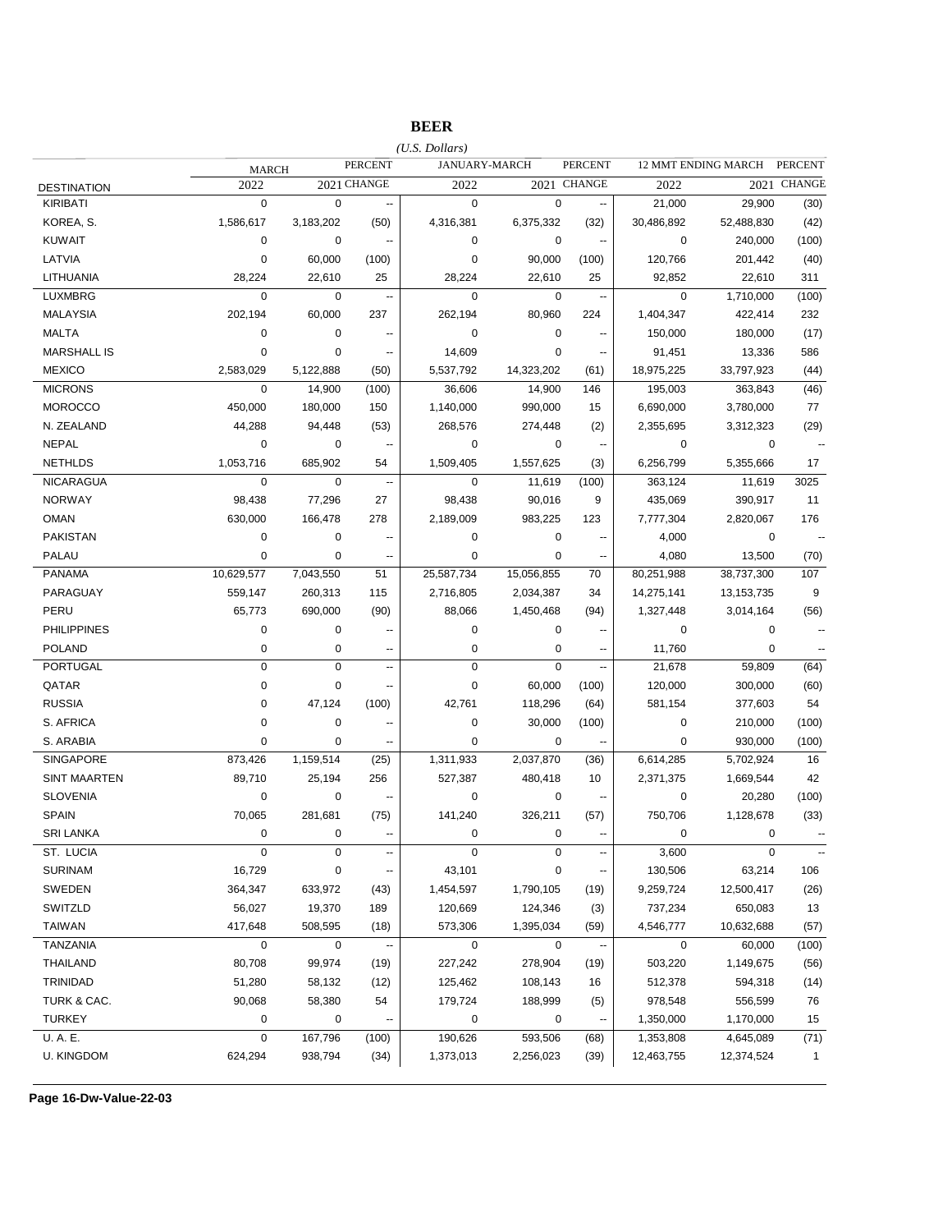## **BEER**

|                     |              |             |                          | $(U.S.$ Dollars) |               |                          |             |                     | <b>PERCENT</b>           |
|---------------------|--------------|-------------|--------------------------|------------------|---------------|--------------------------|-------------|---------------------|--------------------------|
|                     | <b>MARCH</b> |             | <b>PERCENT</b>           |                  | JANUARY-MARCH | <b>PERCENT</b>           |             | 12 MMT ENDING MARCH |                          |
| <b>DESTINATION</b>  | 2022         |             | 2021 CHANGE              | 2022             |               | 2021 CHANGE              | 2022        |                     | 2021 CHANGE              |
| <b>KIRIBATI</b>     | $\pmb{0}$    | $\mathbf 0$ | $\ddotsc$                | $\mathbf 0$      | $\mathbf 0$   | $\overline{\phantom{a}}$ | 21,000      | 29,900              | (30)                     |
| KOREA, S.           | 1,586,617    | 3,183,202   | (50)                     | 4,316,381        | 6,375,332     | (32)                     | 30,486,892  | 52,488,830          | (42)                     |
| <b>KUWAIT</b>       | 0            | 0           | --                       | $\mathbf 0$      | 0             | $\overline{\phantom{a}}$ | 0           | 240,000             | (100)                    |
| LATVIA              | 0            | 60,000      | (100)                    | $\mathbf 0$      | 90,000        | (100)                    | 120,766     | 201,442             | (40)                     |
| LITHUANIA           | 28,224       | 22,610      | 25                       | 28,224           | 22,610        | 25                       | 92,852      | 22,610              | 311                      |
| <b>LUXMBRG</b>      | $\mathbf 0$  | 0           | $\ddotsc$                | $\mathbf 0$      | $\mathbf 0$   | $\overline{\phantom{a}}$ | $\mathbf 0$ | 1,710,000           | (100)                    |
| <b>MALAYSIA</b>     | 202,194      | 60,000      | 237                      | 262,194          | 80,960        | 224                      | 1,404,347   | 422,414             | 232                      |
| <b>MALTA</b>        | 0            | 0           | $\overline{\phantom{a}}$ | 0                | 0             | $\overline{\phantom{a}}$ | 150,000     | 180,000             | (17)                     |
| <b>MARSHALL IS</b>  | 0            | 0           | --                       | 14,609           | 0             | $\sim$                   | 91,451      | 13,336              | 586                      |
| <b>MEXICO</b>       | 2,583,029    | 5,122,888   | (50)                     | 5,537,792        | 14,323,202    | (61)                     | 18,975,225  | 33,797,923          | (44)                     |
| <b>MICRONS</b>      | 0            | 14,900      | (100)                    | 36,606           | 14,900        | 146                      | 195,003     | 363,843             | (46)                     |
| <b>MOROCCO</b>      | 450,000      | 180,000     | 150                      | 1,140,000        | 990,000       | 15                       | 6,690,000   | 3,780,000           | 77                       |
| N. ZEALAND          | 44,288       | 94,448      | (53)                     | 268,576          | 274,448       | (2)                      | 2,355,695   | 3,312,323           | (29)                     |
| <b>NEPAL</b>        | 0            | 0           |                          | $\mathbf 0$      | 0             | $\sim$                   | 0           | 0                   |                          |
| <b>NETHLDS</b>      | 1,053,716    | 685,902     | 54                       | 1,509,405        | 1,557,625     | (3)                      | 6,256,799   | 5,355,666           | 17                       |
| <b>NICARAGUA</b>    | $\pmb{0}$    | $\mathbf 0$ | $\ddotsc$                | $\mathbf 0$      | 11,619        | (100)                    | 363,124     | 11,619              | 3025                     |
| <b>NORWAY</b>       | 98,438       | 77,296      | 27                       | 98,438           | 90,016        | 9                        | 435,069     | 390,917             | 11                       |
| <b>OMAN</b>         | 630,000      | 166,478     | 278                      | 2,189,009        | 983,225       | 123                      | 7,777,304   | 2,820,067           | 176                      |
| <b>PAKISTAN</b>     | 0            | 0           |                          | $\pmb{0}$        | $\mathbf 0$   | $\overline{\phantom{a}}$ | 4,000       | 0                   | $\sim$                   |
| <b>PALAU</b>        | 0            | 0           | --                       | $\mathbf 0$      | $\pmb{0}$     | $\overline{a}$           | 4,080       | 13,500              | (70)                     |
| <b>PANAMA</b>       | 10,629,577   | 7,043,550   | 51                       | 25,587,734       | 15,056,855    | 70                       | 80,251,988  | 38,737,300          | 107                      |
| PARAGUAY            | 559,147      | 260,313     | 115                      | 2,716,805        | 2,034,387     | 34                       | 14,275,141  | 13,153,735          | 9                        |
| PERU                | 65,773       | 690,000     | (90)                     | 88,066           | 1,450,468     | (94)                     | 1,327,448   | 3,014,164           | (56)                     |
| <b>PHILIPPINES</b>  | 0            | 0           |                          | $\mathbf 0$      | $\mathbf 0$   | $\overline{\phantom{a}}$ | 0           | 0                   |                          |
| <b>POLAND</b>       | 0            | 0           | $\overline{a}$           | $\mathbf 0$      | 0             |                          | 11,760      | 0                   |                          |
| <b>PORTUGAL</b>     | 0            | 0           | --                       | $\mathbf 0$      | $\mathbf 0$   | $\overline{\phantom{a}}$ | 21,678      | 59,809              | (64)                     |
| QATAR               | 0            | 0           | $\overline{\phantom{a}}$ | $\mathbf 0$      | 60,000        | (100)                    | 120,000     | 300,000             | (60)                     |
| <b>RUSSIA</b>       | 0            | 47,124      | (100)                    | 42,761           | 118,296       | (64)                     | 581,154     | 377,603             | 54                       |
| S. AFRICA           | 0            | 0           | $\overline{a}$           | $\pmb{0}$        | 30,000        | (100)                    | $\pmb{0}$   | 210,000             | (100)                    |
| S. ARABIA           | 0            | 0           |                          | $\mathbf 0$      | 0             | $\sim$                   | $\mathbf 0$ | 930,000             | (100)                    |
| <b>SINGAPORE</b>    | 873,426      | 1,159,514   | (25)                     | 1,311,933        | 2,037,870     | (36)                     | 6,614,285   | 5,702,924           | 16                       |
| <b>SINT MAARTEN</b> | 89,710       | 25,194      | 256                      | 527,387          | 480,418       | 10                       | 2,371,375   | 1,669,544           | 42                       |
| <b>SLOVENIA</b>     | 0            | 0           | $\sim$                   | $\mathbf 0$      | $\mathbf 0$   | $\sim$                   | $\mathbf 0$ | 20,280              | (100)                    |
| <b>SPAIN</b>        | 70,065       | 281,681     | (75)                     | 141,240          | 326,211       | (57)                     | 750,706     | 1,128,678           | (33)                     |
| <b>SRI LANKA</b>    | $\mathbf 0$  | 0           | --                       | $\mathbf 0$      | $\mathbf 0$   | $\overline{\phantom{a}}$ | $\mathbf 0$ | 0                   |                          |
| ST. LUCIA           | 0            | 0           |                          | $\mathbf 0$      | $\pmb{0}$     |                          | 3,600       | 0                   | $\overline{\phantom{a}}$ |
| <b>SURINAM</b>      | 16,729       | 0           | ÷                        | 43,101           | $\pmb{0}$     |                          | 130,506     | 63,214              | 106                      |
| SWEDEN              | 364,347      | 633,972     | (43)                     | 1,454,597        | 1,790,105     | (19)                     | 9,259,724   | 12,500,417          | (26)                     |
| SWITZLD             | 56,027       | 19,370      | 189                      | 120,669          | 124,346       | (3)                      | 737,234     | 650,083             | 13                       |
| <b>TAIWAN</b>       | 417,648      | 508,595     | (18)                     | 573,306          | 1,395,034     | (59)                     | 4,546,777   | 10,632,688          | (57)                     |
| TANZANIA            | 0            | 0           | $\overline{\phantom{a}}$ | $\mathbf 0$      | $\mathbf 0$   | $\ddot{\phantom{a}}$     | $\mathbf 0$ | 60,000              | (100)                    |
| <b>THAILAND</b>     | 80,708       | 99,974      | (19)                     | 227,242          | 278,904       |                          | 503,220     | 1,149,675           | (56)                     |
| TRINIDAD            | 51,280       | 58,132      | (12)                     | 125,462          | 108,143       | (19)<br>16               | 512,378     | 594,318             | (14)                     |
|                     |              |             |                          |                  |               |                          |             |                     |                          |
| TURK & CAC.         | 90,068       | 58,380      | 54                       | 179,724          | 188,999       | (5)                      | 978,548     | 556,599             | 76                       |
| <b>TURKEY</b>       | 0            | 0           | ÷                        | $\pmb{0}$        | $\pmb{0}$     |                          | 1,350,000   | 1,170,000           | 15                       |
| U.A.E.              | 0            | 167,796     | (100)                    | 190,626          | 593,506       | (68)                     | 1,353,808   | 4,645,089           | (71)                     |
| <b>U. KINGDOM</b>   | 624,294      | 938,794     | (34)                     | 1,373,013        | 2,256,023     | (39)                     | 12,463,755  | 12,374,524          | $\mathbf{1}$             |

**Page 16-Dw-Value-22-03**